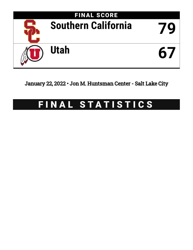

January 22, 2022 • Jon M. Huntsman Center - Salt Lake City

# FINAL STATISTICS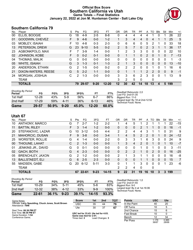### **Official Box Score Southern California vs Utah Game Totals -- Final Statistics January 22, 2022 at Jon M. Huntsman Center - Salt Lake City**



# **Southern California 79**

| No. | Player                | S  | Pts            | FG.      | 3FG      | FT        | 0R | DR. | TR             | PF       | A              | TO            | <b>Blk</b> | Stl      | Min | $+/-$ |
|-----|-----------------------|----|----------------|----------|----------|-----------|----|-----|----------------|----------|----------------|---------------|------------|----------|-----|-------|
| 00  | ELLIS, BOOGIE         | G  | 18             | $4-9$    | $2 - 5$  | $8 - 8$   | 0  | 4   | 4              | 4        | 4              |               | 0          | 1        | 26  | 22    |
| 01  | GOODWIN, CHEVEZ       | F. | 9              | $4-6$    | $0 - 0$  | $1 - 2$   |    | 3   | 4              | 4        | 0              | 4             |            |          | 25  | 5     |
| 03  | <b>MOBLEY, ISAIAH</b> |    | 10             | $4 - 8$  | $0 - 3$  | $2 - 3$   | 0  | 6   | 6              | 0        | 5              | 2             |            | 0        | 33  | 18    |
| 13  | PETERSON, DREW        | G  | 23             | $9 - 10$ | $5 - 5$  | $0 - 2$   | 2  | 5   | 7              | $\Omega$ | 2              | 3             |            | 1        | 36  | 17    |
| 23  | AGBONKPOLO, MAX       | F  |                | $3-9$    | $1 - 4$  | $0 - 0$   | 1  | 2   | 3              | 3        | 0              | 0             | $\Omega$   | 0        | 22  | 10    |
| 02  | JOHNSON, KOBE         | F  | $\Omega$       | $0 - 2$  | $0 - 1$  | $0 - 0$   | 0  | 1   | 1              | $\Omega$ | $\overline{2}$ | 0             |            | 0        |     | $-13$ |
| 04  | THOMAS, MALIK         | G  | $\Omega$       | $0 - 0$  | $0 - 0$  | $0 - 0$   | 0  | 0   | 0              | 0        | 0              | $\Omega$      | 0          | 0        | 1   | $-3$  |
| 05  | <b>WHITE, ISAIAH</b>  | G  | 3              | $1 - 3$  | $0 - 1$  | $1 - 3$   | 2  | 1   | 3              | $\Omega$ | 0              | $\Omega$      | $\Omega$   | 0        | 13  | -10   |
| 20  | ANDERSON, ETHAN       | G  | $\overline{2}$ | $1 - 5$  | $0 - 0$  | $0 - 2$   | 0  | 2   | $\overline{2}$ | 0        | 0              |               | 0          | 1        | 16  | 6     |
| 21  | DIXON-WATERS, REESE   | G  | 5              | $2 - 2$  | $1 - 1$  | $0 - 0$   | 0  | 1   | 1              | 1        | $\overline{2}$ | $\mathcal{P}$ | $\Omega$   | $\Omega$ | 9   | $-1$  |
| 24  | MORGAN, JOSHUA        | С  | 2              | $1 - 3$  | $0 - 0$  | $0 - 0$   | 3  | 3   | 6              | 2        | 3              | 0             | 0          | 1        | 13  | 9     |
|     | <b>TEAM</b>           |    |                |          |          |           | 3  | 2   | 5              | $\Omega$ |                | 0             |            |          |     |       |
|     | <b>TOTALS</b>         |    | 79             | 29-57    | $9 - 20$ | $12 - 20$ | 12 | 30  | 42             | 14       | 18             | 13            | 4          | 5        | 199 |       |

| <b>Shooting By Period</b><br>Period | FG        | FG%   | 3FG      | 3FG%  | FT        | FT%   | Deadball Rebounds: 2,0<br>Last FG: 2nd-01:35               |
|-------------------------------------|-----------|-------|----------|-------|-----------|-------|------------------------------------------------------------|
| 1st Half                            | $12 - 28$ | 43%   | $5-9$    | 56%   | $6 - 7$   | 86%   | Biggest Run: 11-0                                          |
| 2nd Half                            | $17 - 29$ | 59%   | $4 - 11$ | 36%   | $6 - 13$  | 46%   | Largest lead: By 18 at 2nd-12:52<br>Technical Fouls: None. |
| Game                                | 29-57     | 50.9% | $9 - 20$ | 45.0% | $12 - 20$ | 60.0% |                                                            |

**Utah 67**

| No. | Plaver                    | S  | Pts           | FG        | 3FG      | FT        | <b>OR</b>      | <b>DR</b> | TR       | PF | A        | TO | Blk          | Stl      | Min | $+/-$ |
|-----|---------------------------|----|---------------|-----------|----------|-----------|----------------|-----------|----------|----|----------|----|--------------|----------|-----|-------|
| 10  | ANTHONY, MARCO            | G  |               | $2 - 7$   | $1 - 2$  | $2 - 2$   |                | 4         | 5        |    | 2        |    |              |          | 22  | $-15$ |
| 11  | <b>BATTIN, RILEY</b>      | F  | 3             | $1 - 4$   | $1 - 2$  | $0 - 0$   | 0              | 0         | 0        | 2  |          |    | $\mathbf{0}$ | 0        | 16  | $-1$  |
| 20  | STEFANOVIC, LAZAR         | G  | 10            | $3 - 12$  | $0 - 5$  | $4 - 4$   | 2              | 2         | 4        | 4  | 3        |    |              | 0        | 31  | 9     |
| 21  | MAHORCIC, DUSAN           | F. | 9             | $3 - 8$   | $0 - 0$  | $3 - 4$   | 1              | 4         | 5        | 2  | 2        | 0  |              | 0        | 24  | $-12$ |
| 25  | <b>WORSTER, ROLLIE</b>    | G  | 4             | 1-4       | $0 - 0$  | $2 - 2$   | 0              | 3         | 3        |    | 6        | 3  | 0            | 0        | 24  | 9     |
| 00  | <b>THIOUNE, LAHAT</b>     | С  | $\mathcal{P}$ | $1 - 3$   | $0 - 0$  | $0 - 0$   | $\mathbf 1$    | 3         | 4        | 2  | $\Omega$ |    | $\Omega$     |          | 10  | $-7$  |
| 01  | <b>JENKINS JR., DAVID</b> | G  | $\Omega$      | $0 - 1$   | $0 - 0$  | $0 - 0$   | 0              | 0         | $\Omega$ |    | $\Omega$ |    | $\Omega$     | 0        | 3   | $-11$ |
| 02  | <b>GACH, BOTH</b>         | G  | 4             | $2 - 3$   | $0 - 0$  | $0 - 0$   | 0              | 2         | 2        |    | $\Omega$ | 2  | $\Omega$     | $\Omega$ | 16  | $-25$ |
| 05  | <b>BRENCHLEY, JAXON</b>   | G  | $\mathcal{P}$ | $1 - 2$   | $0 - 0$  | $0 - 0$   | 2              |           | 3        |    |          | 0  | 0            | 0        | 16  | -8    |
| 13  | <b>BALLSTAEDT, ELI</b>    | G  | 6             | $2 - 5$   | $2 - 3$  | $0 - 0$   | 0              | $\Omega$  | $\Omega$ |    | 1        | 0  | $\Omega$     | $\Omega$ | 15  | 7     |
| 55  | MADSEN, GABE              | G  | 20            | $6 - 12$  | $5 - 11$ | $3 - 3$   | 0              |           | 1        | 3  | $\Omega$ | 0  | $\Omega$     |          | 23  | -6    |
|     | <b>TEAM</b>               |    |               |           |          |           | $\overline{2}$ | 2         | 4        | 0  |          | 0  |              |          |     |       |
|     | <b>TOTALS</b>             |    | 67            | $22 - 61$ | $9 - 23$ | $14 - 15$ | 9              | 22        | 31       | 19 | 16       | 10 | 3            | 3        | 199 |       |

| <b>Shooting By Period</b> |           |       |          |       |           |       |
|---------------------------|-----------|-------|----------|-------|-----------|-------|
| Period                    | FG        | FG%   | 3FG      | 3FG%  | FТ        | FT%   |
| 1st Half                  | 10-29     | 34%   | $5-11$   | 45%   | 5-6       | 83%   |
| 2nd Half                  | $12 - 32$ | 38%   | 4-12     | 33%   | 9-9       | 100%  |
| Game                      | 22-61     | 36.1% | $9 - 23$ | 39.1% | $14 - 15$ | 93.3% |

*Deadball Rebounds:* 1,0 *Last FG:* 2nd-01:55 *Biggest Run:* 9-0 *Largest lead:* By 4 at 1st-16:06 *Technical Fouls:* None.

Per Poss

36/67

0.985 28/68

| Game Notes:                                                              | <b>Score</b>                                    | 1st | 2 <sub>nd</sub> | TOT | <b>Points</b>     | <b>USC</b> | Ute |
|--------------------------------------------------------------------------|-------------------------------------------------|-----|-----------------|-----|-------------------|------------|-----|
| Officials: Larry Spaulding, Chuck Jones, Scott Brown<br>Attendance: 7846 | <b>USC</b>                                      | 35  | 44              | 79  | In the Paint      | 40         | 20  |
|                                                                          | Ute                                             | 30  | 37              | 67  | Off Turns         |            |     |
| Start Time: 06:36 PM ET                                                  |                                                 |     |                 |     | 2nd Chance        |            |     |
| End Time: 08:30 PM ET<br>Game Duration: 1:54                             | USC led for 33:43. Ute led for 4:03.            |     |                 |     | <b>Fast Break</b> |            |     |
| Conference Game:                                                         | Game was tied for 2:01.<br>Times tied: <b>2</b> |     | Lead Changes: 3 |     | Bench             |            | 34  |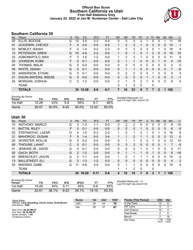### **Official Box Score Southern California vs Utah First Half Statistics Only January 22, 2022 at Jon M. Huntsman Center - Salt Lake City**



# **Southern California 35**

| No. | Player                | S | <b>Pts</b> | FG        | 3FG     | <b>FT</b> | <b>OR</b>      | <b>DR</b> | <b>TR</b> | PF             | A | TO            | <b>B</b> lk | Stl          | Min | $+/-$ |
|-----|-----------------------|---|------------|-----------|---------|-----------|----------------|-----------|-----------|----------------|---|---------------|-------------|--------------|-----|-------|
| 00  | ELLIS, BOOGIE         | G | 12         | $3 - 5$   | 2-3     | 4-4       | 0              | 3         | 3         | $\overline{2}$ |   | 0             |             |              | 11  | 16    |
| 01  | GOODWIN, CHEVEZ       | F | 4          | $2 - 4$   | $0 - 0$ | $0 - 0$   |                | 2         | 3         | 1              | 0 | 3             | $\Omega$    | $\mathbf{0}$ | 14  | 1     |
| 03  | <b>MOBLEY, ISAIAH</b> |   | 4          | $1 - 4$   | $0 - 2$ | $2 - 3$   | 0              | 3         | 3         | 0              | 3 | 0             |             | 0            | 18  | 4     |
| 13  | PETERSON, DREW        | G | 10         | $4 - 5$   | $2 - 2$ | $0 - 0$   |                | $\Omega$  | 1         | $\Omega$       |   | $\mathcal{P}$ | 0           | 0            | 16  | 10    |
| 23  | AGBONKPOLO, MAX       | F | 3          | $1 - 5$   | $1 - 2$ | $0 - 0$   | 1              | 2         | 3         | 1              | 0 | 0             | $\Omega$    | $\Omega$     | 11  | 5     |
| 02  | <b>JOHNSON, KOBE</b>  | F | $\Omega$   | $0 - 1$   | $0 - 0$ | $0 - 0$   | 0              | 1         |           | 0              | 0 | 0             |             | 0            | 4   | $-10$ |
| 04  | THOMAS, MALIK         | G | 0          | $0 - 0$   | $0 - 0$ | $0 - 0$   | 0              | 0         | 0         | 0              | 0 | 0             | 0           | $\Omega$     | 0   | 0     |
| 05  | <b>WHITE, ISAIAH</b>  | G | $\Omega$   | $0 - 1$   | $0 - 0$ | $0 - 0$   | 0              | 1         | 1         | 0              | 0 | $\Omega$      | $\Omega$    | $\Omega$     | 7   | -6    |
| 20  | ANDERSON, ETHAN       | G | 0          | $0 - 1$   | $0 - 0$ | $0 - 0$   | 0              | 2         | 2         | 0              | 0 |               | 0           | 0            | 9   | 2     |
| 21  | DIXON-WATERS, REESE   | G | $\Omega$   | $0 - 0$   | $0 - 0$ | $0 - 0$   | 0              | $\Omega$  | 0         | 0              |   |               | $\Omega$    | $\mathbf{0}$ | 3   | $-1$  |
| 24  | MORGAN, JOSHUA        | С | 2          | $1 - 2$   | 0-0     | $0 - 0$   | 2              | 1         | 3         | $\mathcal{P}$  | 1 | 0             | 0           | $\Omega$     | 6   | 4     |
|     | <b>TEAM</b>           |   |            |           |         |           | $\overline{2}$ | 1         | 3         | 0              |   | 0             |             |              |     |       |
|     | <b>TOTALS</b>         |   | 35         | $12 - 28$ | $5-9$   | $6 - 7$   |                | 16        | 23        | 6              |   |               | 2           | 1            | 100 |       |

| <b>Shooting By Period</b><br>Period | FG        | FG%   | 3FG      | 3FG%  |           | FT%   | Deadball Rebounds: 2,0<br>Last FG Half: USC 2nd-01:35 |
|-------------------------------------|-----------|-------|----------|-------|-----------|-------|-------------------------------------------------------|
| 1st Half                            | $12 - 28$ | 43%   | 5-9      | 56%   | հ-7       | 86%   |                                                       |
| Game                                | 29-57     | 50.9% | $9 - 20$ | 45.0% | $12 - 20$ | 60.0% |                                                       |

# **Utah 30**

|     | <b> vv</b>                |   |               |           |          |           |           |           |              |           |          |          |              |          |                |             |
|-----|---------------------------|---|---------------|-----------|----------|-----------|-----------|-----------|--------------|-----------|----------|----------|--------------|----------|----------------|-------------|
| No. | Player                    | S | <b>Pts</b>    | <b>FG</b> | 3FG      | <b>FT</b> | <b>OR</b> | <b>DR</b> | TR           | <b>PF</b> | A        | TO       | <b>Blk</b>   | Stl      | Min            | $+/-$       |
| 10  | ANTHONY, MARCO            | G | 3             | $1 - 3$   | $1 - 1$  | $0 - 0$   | 0         | 2         | 2            | 0         | 0        | 0        | $\Omega$     | 0        | 9              | $-10$       |
| 11  | <b>BATTIN, RILEY</b>      | F | 0             | $0 - 1$   | $0 - 0$  | $0 - 0$   | 0         | 0         | $\mathbf{0}$ |           | 0        | 0        | 0            | 0        | 6              | $-5$        |
| 20  | STEFANOVIC, LAZAR         | G | 4             | $1 - 5$   | $0 - 3$  | $2 - 2$   | 1         | 0         | 1            | 2         | 1        | 0        |              | 0        | 16             | 8           |
| 21  | MAHORCIC, DUSAN           | F | 5.            | $1 - 4$   | $0 - 0$  | $3 - 4$   |           |           | 2            |           |          | 0        | $\mathbf{0}$ | 0        | 13             | $\mathbf 0$ |
| 25  | <b>WORSTER, ROLLIE</b>    | G | 0             | $0 - 2$   | $0 - 0$  | $0 - 0$   | 0         |           |              | 0         | 3        | 1        | 0            | 0        | 12             | 10          |
| 00  | <b>THIOUNE, LAHAT</b>     | C | $\Omega$      | $0 - 1$   | $0 - 0$  | $0 - 0$   | $\Omega$  | 3         | 3            | $\Omega$  | $\Omega$ | $\Omega$ | $\Omega$     |          | 7              | $-5$        |
| 01  | <b>JENKINS JR., DAVID</b> | G | 0             | $0 - 1$   | $0 - 0$  | $0 - 0$   | 0         | 0         | $\Omega$     |           | $\Omega$ |          | 0            | 0        | 3              | $-11$       |
| 02  | <b>GACH, BOTH</b>         | G | $\mathcal{P}$ | $1 - 2$   | $0 - 0$  | $0 - 0$   | $\Omega$  | 1         |              |           | 0        | 1        | $\Omega$     | $\Omega$ | 9              | $-16$       |
| 05  | <b>BRENCHLEY, JAXON</b>   | G | 2             | $1 - 1$   | $0 - 0$  | $0 - 0$   | 1         | 0         |              |           | 1        | 0        | $\mathbf{0}$ | 0        | 10             | $-2$        |
| 13  | <b>BALLSTAEDT, ELI</b>    | G | 3             | $1 - 3$   | $1 - 2$  | $0 - 0$   | 0         | 0         | $\mathbf{0}$ | 0         | 0        | 0        | $\mathbf{0}$ | 0        | $\overline{4}$ | 2           |
| 55  | MADSEN, GABE              | G | 11            | $4-6$     | $3-5$    | $0 - 0$   | $\Omega$  |           |              | 0         | $\Omega$ | 0        | $\Omega$     | 0        | 10             | 4           |
|     | <b>TEAM</b>               |   |               |           |          |           | 1         |           | 2            | $\Omega$  |          | 0        |              |          |                |             |
|     | <b>TOTALS</b>             |   | 30            | $10 - 29$ | $5 - 11$ | $5-6$     | 4         | 10        | 14           |           | 6        | 3        |              |          | 100            |             |
|     |                           |   |               |           |          |           |           |           |              |           |          |          |              |          |                |             |

| <b>Shooting By Period</b><br>Period | FG        | FG%    | 3FG      | 3FG%  | FT        | FT%   |
|-------------------------------------|-----------|--------|----------|-------|-----------|-------|
| 1st Half                            | 10-29     | $34\%$ | $5-11$   | 45%   | 5-6       | 83%   |
| Game                                | $22 - 61$ | 36.1%  | $9 - 23$ | 39.1% | $14 - 15$ | 93.3% |

*Deadball Rebounds:* 1,0 *Last FG Half:* Ute 2nd-01:55

| Game Notes:                                                              | <b>Score</b> | 1st | 2 <sub>nd</sub> | <b>TOT</b> | <b>Points (This Period)</b> | <b>USC</b>     | Ute           |
|--------------------------------------------------------------------------|--------------|-----|-----------------|------------|-----------------------------|----------------|---------------|
| Officials: Larry Spaulding, Chuck Jones, Scott Brown<br>Attendance: 7846 | <b>USC</b>   | 35  | 44              | 79         | In the Paint                |                |               |
|                                                                          | Ute          | 30  | 37              | 67         | Off Turns                   |                |               |
| Start Time: 06:36 PM ET                                                  |              |     |                 |            | 2nd Chance                  | 10             |               |
| End Time: 08:30 PM ET<br>Game Duration: 1:54                             |              |     |                 |            | <b>Fast Break</b>           |                |               |
| Conference Game:                                                         |              |     |                 |            | Bench                       |                |               |
|                                                                          |              |     |                 |            | Per Poss                    | 1.129<br>15/31 | 000.<br>13/30 |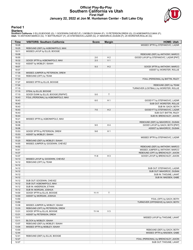#### **Official Play-By-Play Southern California vs Utah First Half January 22, 2022 at Jon M. Huntsman Center - Salt Lake City**



#### **Period 1**

<mark>Starters:</mark><br>Southern California: 0 ELLIS,BOOGIE (G); 1 GOODWIN,CHEVEZ (F); 3 MOBLEY,ISAIAH (F); 13 PETERSON,DREW (G); 23 AGBONKPOLO,MAX (F);<br>Utah: 10 ANTHONY,MARCO (G); 11 BATTIN,RILEY (F); 20 STEFANOVIC,LAZAR (G); 21 MAHO

| MISSED 3PTR by STEFANOVIC, LAZAR<br>19:28<br>19:25<br>REBOUND (DEF) by AGBONKPOLO, MAX<br>19:11<br>MISSED LAYUP by ELLIS, BOOGIE<br>19:08<br>REBOUND (DEF) by ANTHONY, MARCO<br>18:55<br>$2 - 0$<br>H <sub>2</sub><br>GOOD! LAYUP by STEFANOVIC, LAZAR [PNT]<br>V <sub>1</sub><br>18:32<br>GOOD! 3PTR by AGBONKPOLO, MAX<br>$2 - 3$<br>18:32<br>ASSIST by MOBLEY, ISAIAH<br>18:07<br>$5-3$<br>H <sub>2</sub><br>GOOD! 3PTR by ANTHONY, MARCO<br>18:07<br>ASSIST by WORSTER, ROLLIE<br>17:35<br>MISSED JUMPER by PETERSON, DREW<br>17:33<br>REBOUND (OFF) by TEAM<br>17:33<br>FOUL (PERSONAL) by BATTIN, RILEY<br>17:27<br>MISSED 3PTR by ELLIS, BOOGIE<br>17:24<br>REBOUND (DEF) by TEAM<br>17:15<br>TURNOVER (LOSTBALL) by WORSTER, ROLLIE<br>17:15<br>STEAL by ELLIS, BOOGIE<br>GOOD! DUNK by ELLIS, BOOGIE [FB/PNT]<br>Т<br>17:10<br>$5 - 5$<br>16:43<br>FOUL (PERSONAL) by AGBONKPOLO, MAX<br>16:43<br>H <sub>1</sub><br>GOOD! FT by STEFANOVIC, LAZAR<br>$6-5$<br>16:43<br>SUB OUT: WORSTER, ROLLIE<br>16:43<br>SUB IN: GACH, BOTH<br>16:43<br>$7 - 5$<br>H <sub>2</sub><br>GOOD! FT by STEFANOVIC, LAZAR<br>16:43<br>SUB OUT: BATTIN, RILEY<br>16:43<br>SUB IN: BRENCHLEY, JAXON<br>16:21<br>MISSED 3PTR by AGBONKPOLO, MAX<br>16:18<br>REBOUND (DEF) by MAHORCIC, DUSAN<br>16:06<br>H4<br>GOOD! LAYUP by GACH, BOTH [PNT]<br>$9 - 5$<br>16:06<br>ASSIST by MAHORCIC, DUSAN<br>15:53<br>H <sub>1</sub><br>GOOD! 3PTR by PETERSON, DREW<br>$9 - 8$<br>15:53<br>ASSIST by MOBLEY, ISAIAH<br>15:23<br>MISSED 3PTR by STEFANOVIC, LAZAR<br>15:20<br>REBOUND (DEF) by MOBLEY, ISAIAH<br>14:55<br>MISSED JUMPER by GOODWIN, CHEVEZ<br>14:52<br>REBOUND (DEF) by ANTHONY, MARCO<br>14:41<br>MISSED JUMPER by ANTHONY, MARCO<br>14:37<br>REBOUND (OFF) by BRENCHLEY, JAXON<br>14:37<br>$11 - 8$<br>H <sub>3</sub><br>GOOD! LAYUP by BRENCHLEY, JAXON<br>14:13<br>MISSED LAYUP by GOODWIN, CHEVEZ<br>14:12<br>REBOUND (OFF) by TEAM<br>14:12<br>14:12<br>SUB OUT: STEFANOVIC, LAZAR<br>14:12<br>SUB OUT: MAHORCIC, DUSAN<br>14:12<br>SUB IN: THIOUNE, LAHAT<br>14:12<br>SUB IN: MADSEN, GABE<br>14:12<br>SUB OUT: GOODWIN, CHEVEZ<br>14:12<br>SUB OUT: AGBONKPOLO, MAX<br>14:12<br>SUB IN: ANDERSON, ETHAN<br>14:12<br>SUB IN: MORGAN, JOSHUA<br>Τ<br>14:00<br>GOOD! 3PTR by ELLIS, BOOGIE<br>$11 - 11$<br>14:00<br>ASSIST by MORGAN, JOSHUA<br>13:50<br>FOUL (OFF) by GACH, BOTH<br>13:50<br>TURNOVER (OFFENSIVE) by GACH, BOTH<br>13:36<br>MISSED JUMPER by MOBLEY, ISAIAH<br>13:33<br>REBOUND (OFF) by PETERSON, DREW<br>GOOD! 3PTR by ELLIS, BOOGIE<br>$V_3$<br>13:31<br>$11 - 14$<br>13:31<br>ASSIST by PETERSON, DREW<br>13:11<br>MISSED LAYUP by THIOUNE, LAHAT<br>13:11<br>BLOCK by MOBLEY, ISAIAH<br>13:07<br>REBOUND (DEF) by MOBLEY, ISAIAH<br>13:04<br>MISSED 3PTR by MOBLEY, ISAIAH<br>13:00<br>REBOUND (DEF) by GACH, BOTH<br>12:44<br>MISSED 3PTR by MADSEN, GABE<br>12:41<br>REBOUND (DEF) by ELLIS, BOOGIE<br>12:27<br>FOUL (PERSONAL) by BRENCHLEY, JAXON<br>SUB OUT: THIOUNE, LAHAT<br>12:27 | Time | <b>VISITORS: Southern California</b> | <b>Score</b> | <b>Margin</b> | <b>HOME: Utah</b> |
|--------------------------------------------------------------------------------------------------------------------------------------------------------------------------------------------------------------------------------------------------------------------------------------------------------------------------------------------------------------------------------------------------------------------------------------------------------------------------------------------------------------------------------------------------------------------------------------------------------------------------------------------------------------------------------------------------------------------------------------------------------------------------------------------------------------------------------------------------------------------------------------------------------------------------------------------------------------------------------------------------------------------------------------------------------------------------------------------------------------------------------------------------------------------------------------------------------------------------------------------------------------------------------------------------------------------------------------------------------------------------------------------------------------------------------------------------------------------------------------------------------------------------------------------------------------------------------------------------------------------------------------------------------------------------------------------------------------------------------------------------------------------------------------------------------------------------------------------------------------------------------------------------------------------------------------------------------------------------------------------------------------------------------------------------------------------------------------------------------------------------------------------------------------------------------------------------------------------------------------------------------------------------------------------------------------------------------------------------------------------------------------------------------------------------------------------------------------------------------------------------------------------------------------------------------------------------------------------------------------------------------------------------------------------------------------------------------------------------------------------------------------------------------------------------------------------------------------------------------------------------------------------------------------------------------------------------------------------------------------------------------------|------|--------------------------------------|--------------|---------------|-------------------|
|                                                                                                                                                                                                                                                                                                                                                                                                                                                                                                                                                                                                                                                                                                                                                                                                                                                                                                                                                                                                                                                                                                                                                                                                                                                                                                                                                                                                                                                                                                                                                                                                                                                                                                                                                                                                                                                                                                                                                                                                                                                                                                                                                                                                                                                                                                                                                                                                                                                                                                                                                                                                                                                                                                                                                                                                                                                                                                                                                                                                              |      |                                      |              |               |                   |
|                                                                                                                                                                                                                                                                                                                                                                                                                                                                                                                                                                                                                                                                                                                                                                                                                                                                                                                                                                                                                                                                                                                                                                                                                                                                                                                                                                                                                                                                                                                                                                                                                                                                                                                                                                                                                                                                                                                                                                                                                                                                                                                                                                                                                                                                                                                                                                                                                                                                                                                                                                                                                                                                                                                                                                                                                                                                                                                                                                                                              |      |                                      |              |               |                   |
|                                                                                                                                                                                                                                                                                                                                                                                                                                                                                                                                                                                                                                                                                                                                                                                                                                                                                                                                                                                                                                                                                                                                                                                                                                                                                                                                                                                                                                                                                                                                                                                                                                                                                                                                                                                                                                                                                                                                                                                                                                                                                                                                                                                                                                                                                                                                                                                                                                                                                                                                                                                                                                                                                                                                                                                                                                                                                                                                                                                                              |      |                                      |              |               |                   |
|                                                                                                                                                                                                                                                                                                                                                                                                                                                                                                                                                                                                                                                                                                                                                                                                                                                                                                                                                                                                                                                                                                                                                                                                                                                                                                                                                                                                                                                                                                                                                                                                                                                                                                                                                                                                                                                                                                                                                                                                                                                                                                                                                                                                                                                                                                                                                                                                                                                                                                                                                                                                                                                                                                                                                                                                                                                                                                                                                                                                              |      |                                      |              |               |                   |
|                                                                                                                                                                                                                                                                                                                                                                                                                                                                                                                                                                                                                                                                                                                                                                                                                                                                                                                                                                                                                                                                                                                                                                                                                                                                                                                                                                                                                                                                                                                                                                                                                                                                                                                                                                                                                                                                                                                                                                                                                                                                                                                                                                                                                                                                                                                                                                                                                                                                                                                                                                                                                                                                                                                                                                                                                                                                                                                                                                                                              |      |                                      |              |               |                   |
|                                                                                                                                                                                                                                                                                                                                                                                                                                                                                                                                                                                                                                                                                                                                                                                                                                                                                                                                                                                                                                                                                                                                                                                                                                                                                                                                                                                                                                                                                                                                                                                                                                                                                                                                                                                                                                                                                                                                                                                                                                                                                                                                                                                                                                                                                                                                                                                                                                                                                                                                                                                                                                                                                                                                                                                                                                                                                                                                                                                                              |      |                                      |              |               |                   |
|                                                                                                                                                                                                                                                                                                                                                                                                                                                                                                                                                                                                                                                                                                                                                                                                                                                                                                                                                                                                                                                                                                                                                                                                                                                                                                                                                                                                                                                                                                                                                                                                                                                                                                                                                                                                                                                                                                                                                                                                                                                                                                                                                                                                                                                                                                                                                                                                                                                                                                                                                                                                                                                                                                                                                                                                                                                                                                                                                                                                              |      |                                      |              |               |                   |
|                                                                                                                                                                                                                                                                                                                                                                                                                                                                                                                                                                                                                                                                                                                                                                                                                                                                                                                                                                                                                                                                                                                                                                                                                                                                                                                                                                                                                                                                                                                                                                                                                                                                                                                                                                                                                                                                                                                                                                                                                                                                                                                                                                                                                                                                                                                                                                                                                                                                                                                                                                                                                                                                                                                                                                                                                                                                                                                                                                                                              |      |                                      |              |               |                   |
|                                                                                                                                                                                                                                                                                                                                                                                                                                                                                                                                                                                                                                                                                                                                                                                                                                                                                                                                                                                                                                                                                                                                                                                                                                                                                                                                                                                                                                                                                                                                                                                                                                                                                                                                                                                                                                                                                                                                                                                                                                                                                                                                                                                                                                                                                                                                                                                                                                                                                                                                                                                                                                                                                                                                                                                                                                                                                                                                                                                                              |      |                                      |              |               |                   |
|                                                                                                                                                                                                                                                                                                                                                                                                                                                                                                                                                                                                                                                                                                                                                                                                                                                                                                                                                                                                                                                                                                                                                                                                                                                                                                                                                                                                                                                                                                                                                                                                                                                                                                                                                                                                                                                                                                                                                                                                                                                                                                                                                                                                                                                                                                                                                                                                                                                                                                                                                                                                                                                                                                                                                                                                                                                                                                                                                                                                              |      |                                      |              |               |                   |
|                                                                                                                                                                                                                                                                                                                                                                                                                                                                                                                                                                                                                                                                                                                                                                                                                                                                                                                                                                                                                                                                                                                                                                                                                                                                                                                                                                                                                                                                                                                                                                                                                                                                                                                                                                                                                                                                                                                                                                                                                                                                                                                                                                                                                                                                                                                                                                                                                                                                                                                                                                                                                                                                                                                                                                                                                                                                                                                                                                                                              |      |                                      |              |               |                   |
|                                                                                                                                                                                                                                                                                                                                                                                                                                                                                                                                                                                                                                                                                                                                                                                                                                                                                                                                                                                                                                                                                                                                                                                                                                                                                                                                                                                                                                                                                                                                                                                                                                                                                                                                                                                                                                                                                                                                                                                                                                                                                                                                                                                                                                                                                                                                                                                                                                                                                                                                                                                                                                                                                                                                                                                                                                                                                                                                                                                                              |      |                                      |              |               |                   |
|                                                                                                                                                                                                                                                                                                                                                                                                                                                                                                                                                                                                                                                                                                                                                                                                                                                                                                                                                                                                                                                                                                                                                                                                                                                                                                                                                                                                                                                                                                                                                                                                                                                                                                                                                                                                                                                                                                                                                                                                                                                                                                                                                                                                                                                                                                                                                                                                                                                                                                                                                                                                                                                                                                                                                                                                                                                                                                                                                                                                              |      |                                      |              |               |                   |
|                                                                                                                                                                                                                                                                                                                                                                                                                                                                                                                                                                                                                                                                                                                                                                                                                                                                                                                                                                                                                                                                                                                                                                                                                                                                                                                                                                                                                                                                                                                                                                                                                                                                                                                                                                                                                                                                                                                                                                                                                                                                                                                                                                                                                                                                                                                                                                                                                                                                                                                                                                                                                                                                                                                                                                                                                                                                                                                                                                                                              |      |                                      |              |               |                   |
|                                                                                                                                                                                                                                                                                                                                                                                                                                                                                                                                                                                                                                                                                                                                                                                                                                                                                                                                                                                                                                                                                                                                                                                                                                                                                                                                                                                                                                                                                                                                                                                                                                                                                                                                                                                                                                                                                                                                                                                                                                                                                                                                                                                                                                                                                                                                                                                                                                                                                                                                                                                                                                                                                                                                                                                                                                                                                                                                                                                                              |      |                                      |              |               |                   |
|                                                                                                                                                                                                                                                                                                                                                                                                                                                                                                                                                                                                                                                                                                                                                                                                                                                                                                                                                                                                                                                                                                                                                                                                                                                                                                                                                                                                                                                                                                                                                                                                                                                                                                                                                                                                                                                                                                                                                                                                                                                                                                                                                                                                                                                                                                                                                                                                                                                                                                                                                                                                                                                                                                                                                                                                                                                                                                                                                                                                              |      |                                      |              |               |                   |
|                                                                                                                                                                                                                                                                                                                                                                                                                                                                                                                                                                                                                                                                                                                                                                                                                                                                                                                                                                                                                                                                                                                                                                                                                                                                                                                                                                                                                                                                                                                                                                                                                                                                                                                                                                                                                                                                                                                                                                                                                                                                                                                                                                                                                                                                                                                                                                                                                                                                                                                                                                                                                                                                                                                                                                                                                                                                                                                                                                                                              |      |                                      |              |               |                   |
|                                                                                                                                                                                                                                                                                                                                                                                                                                                                                                                                                                                                                                                                                                                                                                                                                                                                                                                                                                                                                                                                                                                                                                                                                                                                                                                                                                                                                                                                                                                                                                                                                                                                                                                                                                                                                                                                                                                                                                                                                                                                                                                                                                                                                                                                                                                                                                                                                                                                                                                                                                                                                                                                                                                                                                                                                                                                                                                                                                                                              |      |                                      |              |               |                   |
|                                                                                                                                                                                                                                                                                                                                                                                                                                                                                                                                                                                                                                                                                                                                                                                                                                                                                                                                                                                                                                                                                                                                                                                                                                                                                                                                                                                                                                                                                                                                                                                                                                                                                                                                                                                                                                                                                                                                                                                                                                                                                                                                                                                                                                                                                                                                                                                                                                                                                                                                                                                                                                                                                                                                                                                                                                                                                                                                                                                                              |      |                                      |              |               |                   |
|                                                                                                                                                                                                                                                                                                                                                                                                                                                                                                                                                                                                                                                                                                                                                                                                                                                                                                                                                                                                                                                                                                                                                                                                                                                                                                                                                                                                                                                                                                                                                                                                                                                                                                                                                                                                                                                                                                                                                                                                                                                                                                                                                                                                                                                                                                                                                                                                                                                                                                                                                                                                                                                                                                                                                                                                                                                                                                                                                                                                              |      |                                      |              |               |                   |
|                                                                                                                                                                                                                                                                                                                                                                                                                                                                                                                                                                                                                                                                                                                                                                                                                                                                                                                                                                                                                                                                                                                                                                                                                                                                                                                                                                                                                                                                                                                                                                                                                                                                                                                                                                                                                                                                                                                                                                                                                                                                                                                                                                                                                                                                                                                                                                                                                                                                                                                                                                                                                                                                                                                                                                                                                                                                                                                                                                                                              |      |                                      |              |               |                   |
|                                                                                                                                                                                                                                                                                                                                                                                                                                                                                                                                                                                                                                                                                                                                                                                                                                                                                                                                                                                                                                                                                                                                                                                                                                                                                                                                                                                                                                                                                                                                                                                                                                                                                                                                                                                                                                                                                                                                                                                                                                                                                                                                                                                                                                                                                                                                                                                                                                                                                                                                                                                                                                                                                                                                                                                                                                                                                                                                                                                                              |      |                                      |              |               |                   |
|                                                                                                                                                                                                                                                                                                                                                                                                                                                                                                                                                                                                                                                                                                                                                                                                                                                                                                                                                                                                                                                                                                                                                                                                                                                                                                                                                                                                                                                                                                                                                                                                                                                                                                                                                                                                                                                                                                                                                                                                                                                                                                                                                                                                                                                                                                                                                                                                                                                                                                                                                                                                                                                                                                                                                                                                                                                                                                                                                                                                              |      |                                      |              |               |                   |
|                                                                                                                                                                                                                                                                                                                                                                                                                                                                                                                                                                                                                                                                                                                                                                                                                                                                                                                                                                                                                                                                                                                                                                                                                                                                                                                                                                                                                                                                                                                                                                                                                                                                                                                                                                                                                                                                                                                                                                                                                                                                                                                                                                                                                                                                                                                                                                                                                                                                                                                                                                                                                                                                                                                                                                                                                                                                                                                                                                                                              |      |                                      |              |               |                   |
|                                                                                                                                                                                                                                                                                                                                                                                                                                                                                                                                                                                                                                                                                                                                                                                                                                                                                                                                                                                                                                                                                                                                                                                                                                                                                                                                                                                                                                                                                                                                                                                                                                                                                                                                                                                                                                                                                                                                                                                                                                                                                                                                                                                                                                                                                                                                                                                                                                                                                                                                                                                                                                                                                                                                                                                                                                                                                                                                                                                                              |      |                                      |              |               |                   |
|                                                                                                                                                                                                                                                                                                                                                                                                                                                                                                                                                                                                                                                                                                                                                                                                                                                                                                                                                                                                                                                                                                                                                                                                                                                                                                                                                                                                                                                                                                                                                                                                                                                                                                                                                                                                                                                                                                                                                                                                                                                                                                                                                                                                                                                                                                                                                                                                                                                                                                                                                                                                                                                                                                                                                                                                                                                                                                                                                                                                              |      |                                      |              |               |                   |
|                                                                                                                                                                                                                                                                                                                                                                                                                                                                                                                                                                                                                                                                                                                                                                                                                                                                                                                                                                                                                                                                                                                                                                                                                                                                                                                                                                                                                                                                                                                                                                                                                                                                                                                                                                                                                                                                                                                                                                                                                                                                                                                                                                                                                                                                                                                                                                                                                                                                                                                                                                                                                                                                                                                                                                                                                                                                                                                                                                                                              |      |                                      |              |               |                   |
|                                                                                                                                                                                                                                                                                                                                                                                                                                                                                                                                                                                                                                                                                                                                                                                                                                                                                                                                                                                                                                                                                                                                                                                                                                                                                                                                                                                                                                                                                                                                                                                                                                                                                                                                                                                                                                                                                                                                                                                                                                                                                                                                                                                                                                                                                                                                                                                                                                                                                                                                                                                                                                                                                                                                                                                                                                                                                                                                                                                                              |      |                                      |              |               |                   |
|                                                                                                                                                                                                                                                                                                                                                                                                                                                                                                                                                                                                                                                                                                                                                                                                                                                                                                                                                                                                                                                                                                                                                                                                                                                                                                                                                                                                                                                                                                                                                                                                                                                                                                                                                                                                                                                                                                                                                                                                                                                                                                                                                                                                                                                                                                                                                                                                                                                                                                                                                                                                                                                                                                                                                                                                                                                                                                                                                                                                              |      |                                      |              |               |                   |
|                                                                                                                                                                                                                                                                                                                                                                                                                                                                                                                                                                                                                                                                                                                                                                                                                                                                                                                                                                                                                                                                                                                                                                                                                                                                                                                                                                                                                                                                                                                                                                                                                                                                                                                                                                                                                                                                                                                                                                                                                                                                                                                                                                                                                                                                                                                                                                                                                                                                                                                                                                                                                                                                                                                                                                                                                                                                                                                                                                                                              |      |                                      |              |               |                   |
|                                                                                                                                                                                                                                                                                                                                                                                                                                                                                                                                                                                                                                                                                                                                                                                                                                                                                                                                                                                                                                                                                                                                                                                                                                                                                                                                                                                                                                                                                                                                                                                                                                                                                                                                                                                                                                                                                                                                                                                                                                                                                                                                                                                                                                                                                                                                                                                                                                                                                                                                                                                                                                                                                                                                                                                                                                                                                                                                                                                                              |      |                                      |              |               |                   |
|                                                                                                                                                                                                                                                                                                                                                                                                                                                                                                                                                                                                                                                                                                                                                                                                                                                                                                                                                                                                                                                                                                                                                                                                                                                                                                                                                                                                                                                                                                                                                                                                                                                                                                                                                                                                                                                                                                                                                                                                                                                                                                                                                                                                                                                                                                                                                                                                                                                                                                                                                                                                                                                                                                                                                                                                                                                                                                                                                                                                              |      |                                      |              |               |                   |
|                                                                                                                                                                                                                                                                                                                                                                                                                                                                                                                                                                                                                                                                                                                                                                                                                                                                                                                                                                                                                                                                                                                                                                                                                                                                                                                                                                                                                                                                                                                                                                                                                                                                                                                                                                                                                                                                                                                                                                                                                                                                                                                                                                                                                                                                                                                                                                                                                                                                                                                                                                                                                                                                                                                                                                                                                                                                                                                                                                                                              |      |                                      |              |               |                   |
|                                                                                                                                                                                                                                                                                                                                                                                                                                                                                                                                                                                                                                                                                                                                                                                                                                                                                                                                                                                                                                                                                                                                                                                                                                                                                                                                                                                                                                                                                                                                                                                                                                                                                                                                                                                                                                                                                                                                                                                                                                                                                                                                                                                                                                                                                                                                                                                                                                                                                                                                                                                                                                                                                                                                                                                                                                                                                                                                                                                                              |      |                                      |              |               |                   |
|                                                                                                                                                                                                                                                                                                                                                                                                                                                                                                                                                                                                                                                                                                                                                                                                                                                                                                                                                                                                                                                                                                                                                                                                                                                                                                                                                                                                                                                                                                                                                                                                                                                                                                                                                                                                                                                                                                                                                                                                                                                                                                                                                                                                                                                                                                                                                                                                                                                                                                                                                                                                                                                                                                                                                                                                                                                                                                                                                                                                              |      |                                      |              |               |                   |
|                                                                                                                                                                                                                                                                                                                                                                                                                                                                                                                                                                                                                                                                                                                                                                                                                                                                                                                                                                                                                                                                                                                                                                                                                                                                                                                                                                                                                                                                                                                                                                                                                                                                                                                                                                                                                                                                                                                                                                                                                                                                                                                                                                                                                                                                                                                                                                                                                                                                                                                                                                                                                                                                                                                                                                                                                                                                                                                                                                                                              |      |                                      |              |               |                   |
|                                                                                                                                                                                                                                                                                                                                                                                                                                                                                                                                                                                                                                                                                                                                                                                                                                                                                                                                                                                                                                                                                                                                                                                                                                                                                                                                                                                                                                                                                                                                                                                                                                                                                                                                                                                                                                                                                                                                                                                                                                                                                                                                                                                                                                                                                                                                                                                                                                                                                                                                                                                                                                                                                                                                                                                                                                                                                                                                                                                                              |      |                                      |              |               |                   |
|                                                                                                                                                                                                                                                                                                                                                                                                                                                                                                                                                                                                                                                                                                                                                                                                                                                                                                                                                                                                                                                                                                                                                                                                                                                                                                                                                                                                                                                                                                                                                                                                                                                                                                                                                                                                                                                                                                                                                                                                                                                                                                                                                                                                                                                                                                                                                                                                                                                                                                                                                                                                                                                                                                                                                                                                                                                                                                                                                                                                              |      |                                      |              |               |                   |
|                                                                                                                                                                                                                                                                                                                                                                                                                                                                                                                                                                                                                                                                                                                                                                                                                                                                                                                                                                                                                                                                                                                                                                                                                                                                                                                                                                                                                                                                                                                                                                                                                                                                                                                                                                                                                                                                                                                                                                                                                                                                                                                                                                                                                                                                                                                                                                                                                                                                                                                                                                                                                                                                                                                                                                                                                                                                                                                                                                                                              |      |                                      |              |               |                   |
|                                                                                                                                                                                                                                                                                                                                                                                                                                                                                                                                                                                                                                                                                                                                                                                                                                                                                                                                                                                                                                                                                                                                                                                                                                                                                                                                                                                                                                                                                                                                                                                                                                                                                                                                                                                                                                                                                                                                                                                                                                                                                                                                                                                                                                                                                                                                                                                                                                                                                                                                                                                                                                                                                                                                                                                                                                                                                                                                                                                                              |      |                                      |              |               |                   |
|                                                                                                                                                                                                                                                                                                                                                                                                                                                                                                                                                                                                                                                                                                                                                                                                                                                                                                                                                                                                                                                                                                                                                                                                                                                                                                                                                                                                                                                                                                                                                                                                                                                                                                                                                                                                                                                                                                                                                                                                                                                                                                                                                                                                                                                                                                                                                                                                                                                                                                                                                                                                                                                                                                                                                                                                                                                                                                                                                                                                              |      |                                      |              |               |                   |
|                                                                                                                                                                                                                                                                                                                                                                                                                                                                                                                                                                                                                                                                                                                                                                                                                                                                                                                                                                                                                                                                                                                                                                                                                                                                                                                                                                                                                                                                                                                                                                                                                                                                                                                                                                                                                                                                                                                                                                                                                                                                                                                                                                                                                                                                                                                                                                                                                                                                                                                                                                                                                                                                                                                                                                                                                                                                                                                                                                                                              |      |                                      |              |               |                   |
|                                                                                                                                                                                                                                                                                                                                                                                                                                                                                                                                                                                                                                                                                                                                                                                                                                                                                                                                                                                                                                                                                                                                                                                                                                                                                                                                                                                                                                                                                                                                                                                                                                                                                                                                                                                                                                                                                                                                                                                                                                                                                                                                                                                                                                                                                                                                                                                                                                                                                                                                                                                                                                                                                                                                                                                                                                                                                                                                                                                                              |      |                                      |              |               |                   |
|                                                                                                                                                                                                                                                                                                                                                                                                                                                                                                                                                                                                                                                                                                                                                                                                                                                                                                                                                                                                                                                                                                                                                                                                                                                                                                                                                                                                                                                                                                                                                                                                                                                                                                                                                                                                                                                                                                                                                                                                                                                                                                                                                                                                                                                                                                                                                                                                                                                                                                                                                                                                                                                                                                                                                                                                                                                                                                                                                                                                              |      |                                      |              |               |                   |
|                                                                                                                                                                                                                                                                                                                                                                                                                                                                                                                                                                                                                                                                                                                                                                                                                                                                                                                                                                                                                                                                                                                                                                                                                                                                                                                                                                                                                                                                                                                                                                                                                                                                                                                                                                                                                                                                                                                                                                                                                                                                                                                                                                                                                                                                                                                                                                                                                                                                                                                                                                                                                                                                                                                                                                                                                                                                                                                                                                                                              |      |                                      |              |               |                   |
|                                                                                                                                                                                                                                                                                                                                                                                                                                                                                                                                                                                                                                                                                                                                                                                                                                                                                                                                                                                                                                                                                                                                                                                                                                                                                                                                                                                                                                                                                                                                                                                                                                                                                                                                                                                                                                                                                                                                                                                                                                                                                                                                                                                                                                                                                                                                                                                                                                                                                                                                                                                                                                                                                                                                                                                                                                                                                                                                                                                                              |      |                                      |              |               |                   |
|                                                                                                                                                                                                                                                                                                                                                                                                                                                                                                                                                                                                                                                                                                                                                                                                                                                                                                                                                                                                                                                                                                                                                                                                                                                                                                                                                                                                                                                                                                                                                                                                                                                                                                                                                                                                                                                                                                                                                                                                                                                                                                                                                                                                                                                                                                                                                                                                                                                                                                                                                                                                                                                                                                                                                                                                                                                                                                                                                                                                              |      |                                      |              |               |                   |
|                                                                                                                                                                                                                                                                                                                                                                                                                                                                                                                                                                                                                                                                                                                                                                                                                                                                                                                                                                                                                                                                                                                                                                                                                                                                                                                                                                                                                                                                                                                                                                                                                                                                                                                                                                                                                                                                                                                                                                                                                                                                                                                                                                                                                                                                                                                                                                                                                                                                                                                                                                                                                                                                                                                                                                                                                                                                                                                                                                                                              |      |                                      |              |               |                   |
|                                                                                                                                                                                                                                                                                                                                                                                                                                                                                                                                                                                                                                                                                                                                                                                                                                                                                                                                                                                                                                                                                                                                                                                                                                                                                                                                                                                                                                                                                                                                                                                                                                                                                                                                                                                                                                                                                                                                                                                                                                                                                                                                                                                                                                                                                                                                                                                                                                                                                                                                                                                                                                                                                                                                                                                                                                                                                                                                                                                                              |      |                                      |              |               |                   |
|                                                                                                                                                                                                                                                                                                                                                                                                                                                                                                                                                                                                                                                                                                                                                                                                                                                                                                                                                                                                                                                                                                                                                                                                                                                                                                                                                                                                                                                                                                                                                                                                                                                                                                                                                                                                                                                                                                                                                                                                                                                                                                                                                                                                                                                                                                                                                                                                                                                                                                                                                                                                                                                                                                                                                                                                                                                                                                                                                                                                              |      |                                      |              |               |                   |
|                                                                                                                                                                                                                                                                                                                                                                                                                                                                                                                                                                                                                                                                                                                                                                                                                                                                                                                                                                                                                                                                                                                                                                                                                                                                                                                                                                                                                                                                                                                                                                                                                                                                                                                                                                                                                                                                                                                                                                                                                                                                                                                                                                                                                                                                                                                                                                                                                                                                                                                                                                                                                                                                                                                                                                                                                                                                                                                                                                                                              |      |                                      |              |               |                   |
|                                                                                                                                                                                                                                                                                                                                                                                                                                                                                                                                                                                                                                                                                                                                                                                                                                                                                                                                                                                                                                                                                                                                                                                                                                                                                                                                                                                                                                                                                                                                                                                                                                                                                                                                                                                                                                                                                                                                                                                                                                                                                                                                                                                                                                                                                                                                                                                                                                                                                                                                                                                                                                                                                                                                                                                                                                                                                                                                                                                                              |      |                                      |              |               |                   |
|                                                                                                                                                                                                                                                                                                                                                                                                                                                                                                                                                                                                                                                                                                                                                                                                                                                                                                                                                                                                                                                                                                                                                                                                                                                                                                                                                                                                                                                                                                                                                                                                                                                                                                                                                                                                                                                                                                                                                                                                                                                                                                                                                                                                                                                                                                                                                                                                                                                                                                                                                                                                                                                                                                                                                                                                                                                                                                                                                                                                              |      |                                      |              |               |                   |
|                                                                                                                                                                                                                                                                                                                                                                                                                                                                                                                                                                                                                                                                                                                                                                                                                                                                                                                                                                                                                                                                                                                                                                                                                                                                                                                                                                                                                                                                                                                                                                                                                                                                                                                                                                                                                                                                                                                                                                                                                                                                                                                                                                                                                                                                                                                                                                                                                                                                                                                                                                                                                                                                                                                                                                                                                                                                                                                                                                                                              |      |                                      |              |               |                   |
|                                                                                                                                                                                                                                                                                                                                                                                                                                                                                                                                                                                                                                                                                                                                                                                                                                                                                                                                                                                                                                                                                                                                                                                                                                                                                                                                                                                                                                                                                                                                                                                                                                                                                                                                                                                                                                                                                                                                                                                                                                                                                                                                                                                                                                                                                                                                                                                                                                                                                                                                                                                                                                                                                                                                                                                                                                                                                                                                                                                                              |      |                                      |              |               |                   |
|                                                                                                                                                                                                                                                                                                                                                                                                                                                                                                                                                                                                                                                                                                                                                                                                                                                                                                                                                                                                                                                                                                                                                                                                                                                                                                                                                                                                                                                                                                                                                                                                                                                                                                                                                                                                                                                                                                                                                                                                                                                                                                                                                                                                                                                                                                                                                                                                                                                                                                                                                                                                                                                                                                                                                                                                                                                                                                                                                                                                              |      |                                      |              |               |                   |
|                                                                                                                                                                                                                                                                                                                                                                                                                                                                                                                                                                                                                                                                                                                                                                                                                                                                                                                                                                                                                                                                                                                                                                                                                                                                                                                                                                                                                                                                                                                                                                                                                                                                                                                                                                                                                                                                                                                                                                                                                                                                                                                                                                                                                                                                                                                                                                                                                                                                                                                                                                                                                                                                                                                                                                                                                                                                                                                                                                                                              |      |                                      |              |               |                   |
|                                                                                                                                                                                                                                                                                                                                                                                                                                                                                                                                                                                                                                                                                                                                                                                                                                                                                                                                                                                                                                                                                                                                                                                                                                                                                                                                                                                                                                                                                                                                                                                                                                                                                                                                                                                                                                                                                                                                                                                                                                                                                                                                                                                                                                                                                                                                                                                                                                                                                                                                                                                                                                                                                                                                                                                                                                                                                                                                                                                                              |      |                                      |              |               |                   |
|                                                                                                                                                                                                                                                                                                                                                                                                                                                                                                                                                                                                                                                                                                                                                                                                                                                                                                                                                                                                                                                                                                                                                                                                                                                                                                                                                                                                                                                                                                                                                                                                                                                                                                                                                                                                                                                                                                                                                                                                                                                                                                                                                                                                                                                                                                                                                                                                                                                                                                                                                                                                                                                                                                                                                                                                                                                                                                                                                                                                              |      |                                      |              |               |                   |
|                                                                                                                                                                                                                                                                                                                                                                                                                                                                                                                                                                                                                                                                                                                                                                                                                                                                                                                                                                                                                                                                                                                                                                                                                                                                                                                                                                                                                                                                                                                                                                                                                                                                                                                                                                                                                                                                                                                                                                                                                                                                                                                                                                                                                                                                                                                                                                                                                                                                                                                                                                                                                                                                                                                                                                                                                                                                                                                                                                                                              |      |                                      |              |               |                   |
|                                                                                                                                                                                                                                                                                                                                                                                                                                                                                                                                                                                                                                                                                                                                                                                                                                                                                                                                                                                                                                                                                                                                                                                                                                                                                                                                                                                                                                                                                                                                                                                                                                                                                                                                                                                                                                                                                                                                                                                                                                                                                                                                                                                                                                                                                                                                                                                                                                                                                                                                                                                                                                                                                                                                                                                                                                                                                                                                                                                                              |      |                                      |              |               |                   |
|                                                                                                                                                                                                                                                                                                                                                                                                                                                                                                                                                                                                                                                                                                                                                                                                                                                                                                                                                                                                                                                                                                                                                                                                                                                                                                                                                                                                                                                                                                                                                                                                                                                                                                                                                                                                                                                                                                                                                                                                                                                                                                                                                                                                                                                                                                                                                                                                                                                                                                                                                                                                                                                                                                                                                                                                                                                                                                                                                                                                              |      |                                      |              |               |                   |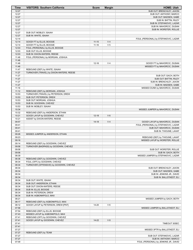| 12:27<br>SUB OUT: BRENCHLEY, JAXON<br>12:27<br>SUB OUT: ANTHONY, MARCO<br>12:27<br>SUB OUT: MADSEN, GABE<br>12:27<br>SUB IN: BATTIN, RILEY<br>12:27<br>SUB IN: STEFANOVIC, LAZAR<br>12:27<br>SUB IN: MAHORCIC, DUSAN<br>12:27<br>SUB IN: WORSTER, ROLLIE<br>12:27<br>SUB OUT: MOBLEY, ISAIAH<br>12:27<br>SUB IN: WHITE, ISAIAH<br>12:14<br>FOUL (PERSONAL) by STEFANOVIC, LAZAR<br>V <sub>4</sub><br>12:14<br>GOOD! FT by ELLIS, BOOGIE<br>$11 - 15$<br>12:14<br>GOOD! FT by ELLIS, BOOGIE<br>V <sub>5</sub><br>$11 - 16$<br>12:03<br>FOUL (PERSONAL) by ELLIS, BOOGIE<br>12:03<br>SUB OUT: ELLIS, BOOGIE<br>12:03<br>SUB IN: DIXON-WATERS, REESE<br>11:48<br>FOUL (PERSONAL) by MORGAN, JOSHUA<br>11:48<br>11:48<br>V <sub>4</sub><br>$12 - 16$<br>GOOD! FT by MAHORCIC, DUSAN<br>11:48<br>MISSED FT by MAHORCIC, DUSAN<br>REBOUND (DEF) by WHITE, ISAIAH<br>11:47<br>11:27<br>TURNOVER (TRAVEL) by DIXON-WATERS, REESE<br>11:27<br>SUB OUT: GACH, BOTH<br>11:27<br>SUB OUT: BATTIN, RILEY<br>11:27<br>SUB IN: BRENCHLEY, JAXON<br>11:27<br>SUB IN: MADSEN, GABE<br>11:16<br>MISSED DUNK by MAHORCIC, DUSAN<br>11:12<br>REBOUND (DEF) by MORGAN, JOSHUA<br>10:53<br>TURNOVER (TRAVEL) by PETERSON, DREW<br>10:53<br>SUB OUT: PETERSON, DREW<br>10:53<br>SUB OUT: MORGAN, JOSHUA<br>10:53<br>SUB IN: GOODWIN, CHEVEZ<br>10:53<br>SUB IN: MOBLEY, ISAIAH<br>10:34<br>MISSED JUMPER by MAHORCIC, DUSAN<br>10:32<br>REBOUND (DEF) by ANDERSON, ETHAN<br>10:21<br>$V_6$<br>GOOD! LAYUP by GOODWIN, CHEVEZ<br>$12 - 18$<br>10:21<br>ASSIST by DIXON-WATERS, REESE<br>09:57<br>V <sub>4</sub><br>$14 - 18$<br>GOOD! LAYUP by MAHORCIC, DUSAN<br>09:41<br>FOUL (PERSONAL) by STEFANOVIC, LAZAR<br>09:41<br>SUB OUT: MAHORCIC, DUSAN<br>09:41<br>SUB IN: THIOUNE, LAHAT<br>09:26<br>MISSED JUMPER by ANDERSON, ETHAN<br>09:23<br>REBOUND (DEF) by THIOUNE, LAHAT<br>09:16<br>MISSED LAYUP by WORSTER, ROLLIE<br>09:14<br>REBOUND (DEF) by GOODWIN, CHEVEZ<br>TURNOVER (BADPASS) by GOODWIN, CHEVEZ<br>09:06<br>09:06<br>SUB OUT: WORSTER, ROLLIE<br>09:06<br>SUB IN: GACH, BOTH<br>08:39<br>MISSED JUMPER by STEFANOVIC, LAZAR<br>08:36<br>REBOUND (DEF) by GOODWIN, CHEVEZ<br>FOUL (OFF) by GOODWIN, CHEVEZ<br>08:34<br>08:34<br>TURNOVER (OFFENSIVE) by GOODWIN, CHEVEZ<br>08:34<br>SUB OUT: BRENCHLEY, JAXON<br>08:34<br>SUB OUT: MADSEN, GABE<br>08:34<br>SUB IN: JENKINS JR., DAVID<br>08:34<br>SUB IN: BALLSTAEDT, ELI<br>SUB OUT: WHITE, ISAIAH<br>08:34<br>08:34<br>SUB OUT: ANDERSON, ETHAN<br>08:34<br>SUB OUT: DIXON-WATERS, REESE<br>08:34<br>SUB IN: ELLIS, BOOGIE<br>08:34<br>SUB IN: PETERSON, DREW<br>08:34<br>SUB IN: AGBONKPOLO, MAX<br>08:21<br>MISSED JUMPER by GACH, BOTH<br>08:17<br>REBOUND (DEF) by AGBONKPOLO, MAX<br>08:12<br>GOOD! LAYUP by PETERSON, DREW [PNT]<br>$V_6$<br>14-20<br>07:58<br>MISSED JUMPER by BALLSTAEDT, ELI<br>07:54<br>REBOUND (DEF) by ELLIS, BOOGIE<br>MISSED LAYUP by AGBONKPOLO, MAX<br>07:43<br>07:41<br>REBOUND (OFF) by GOODWIN, CHEVEZ<br>07:41<br>GOOD! LAYUP by GOODWIN, CHEVEZ<br>V8<br>14-22<br>07:41<br>TIMEOUT 30SEC<br>07:41<br>07:27<br>MISSED 3PTR by BALLSTAEDT, ELI<br>07:27<br>REBOUND (DEF) by TEAM<br>07:27<br>SUB OUT: STEFANOVIC, LAZAR<br>07:27<br>SUB IN: ANTHONY, MARCO<br>07:09<br>FOUL (PERSONAL) by JENKINS JR., DAVID | Time | <b>VISITORS: Southern California</b> | <b>Score</b> | <b>Margin</b> | <b>HOME: Utah</b> |
|----------------------------------------------------------------------------------------------------------------------------------------------------------------------------------------------------------------------------------------------------------------------------------------------------------------------------------------------------------------------------------------------------------------------------------------------------------------------------------------------------------------------------------------------------------------------------------------------------------------------------------------------------------------------------------------------------------------------------------------------------------------------------------------------------------------------------------------------------------------------------------------------------------------------------------------------------------------------------------------------------------------------------------------------------------------------------------------------------------------------------------------------------------------------------------------------------------------------------------------------------------------------------------------------------------------------------------------------------------------------------------------------------------------------------------------------------------------------------------------------------------------------------------------------------------------------------------------------------------------------------------------------------------------------------------------------------------------------------------------------------------------------------------------------------------------------------------------------------------------------------------------------------------------------------------------------------------------------------------------------------------------------------------------------------------------------------------------------------------------------------------------------------------------------------------------------------------------------------------------------------------------------------------------------------------------------------------------------------------------------------------------------------------------------------------------------------------------------------------------------------------------------------------------------------------------------------------------------------------------------------------------------------------------------------------------------------------------------------------------------------------------------------------------------------------------------------------------------------------------------------------------------------------------------------------------------------------------------------------------------------------------------------------------------------------------------------------------------------------------------------------------------------------------------------------------------------------------------------------------------------------------------------------------------|------|--------------------------------------|--------------|---------------|-------------------|
|                                                                                                                                                                                                                                                                                                                                                                                                                                                                                                                                                                                                                                                                                                                                                                                                                                                                                                                                                                                                                                                                                                                                                                                                                                                                                                                                                                                                                                                                                                                                                                                                                                                                                                                                                                                                                                                                                                                                                                                                                                                                                                                                                                                                                                                                                                                                                                                                                                                                                                                                                                                                                                                                                                                                                                                                                                                                                                                                                                                                                                                                                                                                                                                                                                                                                              |      |                                      |              |               |                   |
|                                                                                                                                                                                                                                                                                                                                                                                                                                                                                                                                                                                                                                                                                                                                                                                                                                                                                                                                                                                                                                                                                                                                                                                                                                                                                                                                                                                                                                                                                                                                                                                                                                                                                                                                                                                                                                                                                                                                                                                                                                                                                                                                                                                                                                                                                                                                                                                                                                                                                                                                                                                                                                                                                                                                                                                                                                                                                                                                                                                                                                                                                                                                                                                                                                                                                              |      |                                      |              |               |                   |
|                                                                                                                                                                                                                                                                                                                                                                                                                                                                                                                                                                                                                                                                                                                                                                                                                                                                                                                                                                                                                                                                                                                                                                                                                                                                                                                                                                                                                                                                                                                                                                                                                                                                                                                                                                                                                                                                                                                                                                                                                                                                                                                                                                                                                                                                                                                                                                                                                                                                                                                                                                                                                                                                                                                                                                                                                                                                                                                                                                                                                                                                                                                                                                                                                                                                                              |      |                                      |              |               |                   |
|                                                                                                                                                                                                                                                                                                                                                                                                                                                                                                                                                                                                                                                                                                                                                                                                                                                                                                                                                                                                                                                                                                                                                                                                                                                                                                                                                                                                                                                                                                                                                                                                                                                                                                                                                                                                                                                                                                                                                                                                                                                                                                                                                                                                                                                                                                                                                                                                                                                                                                                                                                                                                                                                                                                                                                                                                                                                                                                                                                                                                                                                                                                                                                                                                                                                                              |      |                                      |              |               |                   |
|                                                                                                                                                                                                                                                                                                                                                                                                                                                                                                                                                                                                                                                                                                                                                                                                                                                                                                                                                                                                                                                                                                                                                                                                                                                                                                                                                                                                                                                                                                                                                                                                                                                                                                                                                                                                                                                                                                                                                                                                                                                                                                                                                                                                                                                                                                                                                                                                                                                                                                                                                                                                                                                                                                                                                                                                                                                                                                                                                                                                                                                                                                                                                                                                                                                                                              |      |                                      |              |               |                   |
|                                                                                                                                                                                                                                                                                                                                                                                                                                                                                                                                                                                                                                                                                                                                                                                                                                                                                                                                                                                                                                                                                                                                                                                                                                                                                                                                                                                                                                                                                                                                                                                                                                                                                                                                                                                                                                                                                                                                                                                                                                                                                                                                                                                                                                                                                                                                                                                                                                                                                                                                                                                                                                                                                                                                                                                                                                                                                                                                                                                                                                                                                                                                                                                                                                                                                              |      |                                      |              |               |                   |
|                                                                                                                                                                                                                                                                                                                                                                                                                                                                                                                                                                                                                                                                                                                                                                                                                                                                                                                                                                                                                                                                                                                                                                                                                                                                                                                                                                                                                                                                                                                                                                                                                                                                                                                                                                                                                                                                                                                                                                                                                                                                                                                                                                                                                                                                                                                                                                                                                                                                                                                                                                                                                                                                                                                                                                                                                                                                                                                                                                                                                                                                                                                                                                                                                                                                                              |      |                                      |              |               |                   |
|                                                                                                                                                                                                                                                                                                                                                                                                                                                                                                                                                                                                                                                                                                                                                                                                                                                                                                                                                                                                                                                                                                                                                                                                                                                                                                                                                                                                                                                                                                                                                                                                                                                                                                                                                                                                                                                                                                                                                                                                                                                                                                                                                                                                                                                                                                                                                                                                                                                                                                                                                                                                                                                                                                                                                                                                                                                                                                                                                                                                                                                                                                                                                                                                                                                                                              |      |                                      |              |               |                   |
|                                                                                                                                                                                                                                                                                                                                                                                                                                                                                                                                                                                                                                                                                                                                                                                                                                                                                                                                                                                                                                                                                                                                                                                                                                                                                                                                                                                                                                                                                                                                                                                                                                                                                                                                                                                                                                                                                                                                                                                                                                                                                                                                                                                                                                                                                                                                                                                                                                                                                                                                                                                                                                                                                                                                                                                                                                                                                                                                                                                                                                                                                                                                                                                                                                                                                              |      |                                      |              |               |                   |
|                                                                                                                                                                                                                                                                                                                                                                                                                                                                                                                                                                                                                                                                                                                                                                                                                                                                                                                                                                                                                                                                                                                                                                                                                                                                                                                                                                                                                                                                                                                                                                                                                                                                                                                                                                                                                                                                                                                                                                                                                                                                                                                                                                                                                                                                                                                                                                                                                                                                                                                                                                                                                                                                                                                                                                                                                                                                                                                                                                                                                                                                                                                                                                                                                                                                                              |      |                                      |              |               |                   |
|                                                                                                                                                                                                                                                                                                                                                                                                                                                                                                                                                                                                                                                                                                                                                                                                                                                                                                                                                                                                                                                                                                                                                                                                                                                                                                                                                                                                                                                                                                                                                                                                                                                                                                                                                                                                                                                                                                                                                                                                                                                                                                                                                                                                                                                                                                                                                                                                                                                                                                                                                                                                                                                                                                                                                                                                                                                                                                                                                                                                                                                                                                                                                                                                                                                                                              |      |                                      |              |               |                   |
|                                                                                                                                                                                                                                                                                                                                                                                                                                                                                                                                                                                                                                                                                                                                                                                                                                                                                                                                                                                                                                                                                                                                                                                                                                                                                                                                                                                                                                                                                                                                                                                                                                                                                                                                                                                                                                                                                                                                                                                                                                                                                                                                                                                                                                                                                                                                                                                                                                                                                                                                                                                                                                                                                                                                                                                                                                                                                                                                                                                                                                                                                                                                                                                                                                                                                              |      |                                      |              |               |                   |
|                                                                                                                                                                                                                                                                                                                                                                                                                                                                                                                                                                                                                                                                                                                                                                                                                                                                                                                                                                                                                                                                                                                                                                                                                                                                                                                                                                                                                                                                                                                                                                                                                                                                                                                                                                                                                                                                                                                                                                                                                                                                                                                                                                                                                                                                                                                                                                                                                                                                                                                                                                                                                                                                                                                                                                                                                                                                                                                                                                                                                                                                                                                                                                                                                                                                                              |      |                                      |              |               |                   |
|                                                                                                                                                                                                                                                                                                                                                                                                                                                                                                                                                                                                                                                                                                                                                                                                                                                                                                                                                                                                                                                                                                                                                                                                                                                                                                                                                                                                                                                                                                                                                                                                                                                                                                                                                                                                                                                                                                                                                                                                                                                                                                                                                                                                                                                                                                                                                                                                                                                                                                                                                                                                                                                                                                                                                                                                                                                                                                                                                                                                                                                                                                                                                                                                                                                                                              |      |                                      |              |               |                   |
|                                                                                                                                                                                                                                                                                                                                                                                                                                                                                                                                                                                                                                                                                                                                                                                                                                                                                                                                                                                                                                                                                                                                                                                                                                                                                                                                                                                                                                                                                                                                                                                                                                                                                                                                                                                                                                                                                                                                                                                                                                                                                                                                                                                                                                                                                                                                                                                                                                                                                                                                                                                                                                                                                                                                                                                                                                                                                                                                                                                                                                                                                                                                                                                                                                                                                              |      |                                      |              |               |                   |
|                                                                                                                                                                                                                                                                                                                                                                                                                                                                                                                                                                                                                                                                                                                                                                                                                                                                                                                                                                                                                                                                                                                                                                                                                                                                                                                                                                                                                                                                                                                                                                                                                                                                                                                                                                                                                                                                                                                                                                                                                                                                                                                                                                                                                                                                                                                                                                                                                                                                                                                                                                                                                                                                                                                                                                                                                                                                                                                                                                                                                                                                                                                                                                                                                                                                                              |      |                                      |              |               |                   |
|                                                                                                                                                                                                                                                                                                                                                                                                                                                                                                                                                                                                                                                                                                                                                                                                                                                                                                                                                                                                                                                                                                                                                                                                                                                                                                                                                                                                                                                                                                                                                                                                                                                                                                                                                                                                                                                                                                                                                                                                                                                                                                                                                                                                                                                                                                                                                                                                                                                                                                                                                                                                                                                                                                                                                                                                                                                                                                                                                                                                                                                                                                                                                                                                                                                                                              |      |                                      |              |               |                   |
|                                                                                                                                                                                                                                                                                                                                                                                                                                                                                                                                                                                                                                                                                                                                                                                                                                                                                                                                                                                                                                                                                                                                                                                                                                                                                                                                                                                                                                                                                                                                                                                                                                                                                                                                                                                                                                                                                                                                                                                                                                                                                                                                                                                                                                                                                                                                                                                                                                                                                                                                                                                                                                                                                                                                                                                                                                                                                                                                                                                                                                                                                                                                                                                                                                                                                              |      |                                      |              |               |                   |
|                                                                                                                                                                                                                                                                                                                                                                                                                                                                                                                                                                                                                                                                                                                                                                                                                                                                                                                                                                                                                                                                                                                                                                                                                                                                                                                                                                                                                                                                                                                                                                                                                                                                                                                                                                                                                                                                                                                                                                                                                                                                                                                                                                                                                                                                                                                                                                                                                                                                                                                                                                                                                                                                                                                                                                                                                                                                                                                                                                                                                                                                                                                                                                                                                                                                                              |      |                                      |              |               |                   |
|                                                                                                                                                                                                                                                                                                                                                                                                                                                                                                                                                                                                                                                                                                                                                                                                                                                                                                                                                                                                                                                                                                                                                                                                                                                                                                                                                                                                                                                                                                                                                                                                                                                                                                                                                                                                                                                                                                                                                                                                                                                                                                                                                                                                                                                                                                                                                                                                                                                                                                                                                                                                                                                                                                                                                                                                                                                                                                                                                                                                                                                                                                                                                                                                                                                                                              |      |                                      |              |               |                   |
|                                                                                                                                                                                                                                                                                                                                                                                                                                                                                                                                                                                                                                                                                                                                                                                                                                                                                                                                                                                                                                                                                                                                                                                                                                                                                                                                                                                                                                                                                                                                                                                                                                                                                                                                                                                                                                                                                                                                                                                                                                                                                                                                                                                                                                                                                                                                                                                                                                                                                                                                                                                                                                                                                                                                                                                                                                                                                                                                                                                                                                                                                                                                                                                                                                                                                              |      |                                      |              |               |                   |
|                                                                                                                                                                                                                                                                                                                                                                                                                                                                                                                                                                                                                                                                                                                                                                                                                                                                                                                                                                                                                                                                                                                                                                                                                                                                                                                                                                                                                                                                                                                                                                                                                                                                                                                                                                                                                                                                                                                                                                                                                                                                                                                                                                                                                                                                                                                                                                                                                                                                                                                                                                                                                                                                                                                                                                                                                                                                                                                                                                                                                                                                                                                                                                                                                                                                                              |      |                                      |              |               |                   |
|                                                                                                                                                                                                                                                                                                                                                                                                                                                                                                                                                                                                                                                                                                                                                                                                                                                                                                                                                                                                                                                                                                                                                                                                                                                                                                                                                                                                                                                                                                                                                                                                                                                                                                                                                                                                                                                                                                                                                                                                                                                                                                                                                                                                                                                                                                                                                                                                                                                                                                                                                                                                                                                                                                                                                                                                                                                                                                                                                                                                                                                                                                                                                                                                                                                                                              |      |                                      |              |               |                   |
|                                                                                                                                                                                                                                                                                                                                                                                                                                                                                                                                                                                                                                                                                                                                                                                                                                                                                                                                                                                                                                                                                                                                                                                                                                                                                                                                                                                                                                                                                                                                                                                                                                                                                                                                                                                                                                                                                                                                                                                                                                                                                                                                                                                                                                                                                                                                                                                                                                                                                                                                                                                                                                                                                                                                                                                                                                                                                                                                                                                                                                                                                                                                                                                                                                                                                              |      |                                      |              |               |                   |
|                                                                                                                                                                                                                                                                                                                                                                                                                                                                                                                                                                                                                                                                                                                                                                                                                                                                                                                                                                                                                                                                                                                                                                                                                                                                                                                                                                                                                                                                                                                                                                                                                                                                                                                                                                                                                                                                                                                                                                                                                                                                                                                                                                                                                                                                                                                                                                                                                                                                                                                                                                                                                                                                                                                                                                                                                                                                                                                                                                                                                                                                                                                                                                                                                                                                                              |      |                                      |              |               |                   |
|                                                                                                                                                                                                                                                                                                                                                                                                                                                                                                                                                                                                                                                                                                                                                                                                                                                                                                                                                                                                                                                                                                                                                                                                                                                                                                                                                                                                                                                                                                                                                                                                                                                                                                                                                                                                                                                                                                                                                                                                                                                                                                                                                                                                                                                                                                                                                                                                                                                                                                                                                                                                                                                                                                                                                                                                                                                                                                                                                                                                                                                                                                                                                                                                                                                                                              |      |                                      |              |               |                   |
|                                                                                                                                                                                                                                                                                                                                                                                                                                                                                                                                                                                                                                                                                                                                                                                                                                                                                                                                                                                                                                                                                                                                                                                                                                                                                                                                                                                                                                                                                                                                                                                                                                                                                                                                                                                                                                                                                                                                                                                                                                                                                                                                                                                                                                                                                                                                                                                                                                                                                                                                                                                                                                                                                                                                                                                                                                                                                                                                                                                                                                                                                                                                                                                                                                                                                              |      |                                      |              |               |                   |
|                                                                                                                                                                                                                                                                                                                                                                                                                                                                                                                                                                                                                                                                                                                                                                                                                                                                                                                                                                                                                                                                                                                                                                                                                                                                                                                                                                                                                                                                                                                                                                                                                                                                                                                                                                                                                                                                                                                                                                                                                                                                                                                                                                                                                                                                                                                                                                                                                                                                                                                                                                                                                                                                                                                                                                                                                                                                                                                                                                                                                                                                                                                                                                                                                                                                                              |      |                                      |              |               |                   |
|                                                                                                                                                                                                                                                                                                                                                                                                                                                                                                                                                                                                                                                                                                                                                                                                                                                                                                                                                                                                                                                                                                                                                                                                                                                                                                                                                                                                                                                                                                                                                                                                                                                                                                                                                                                                                                                                                                                                                                                                                                                                                                                                                                                                                                                                                                                                                                                                                                                                                                                                                                                                                                                                                                                                                                                                                                                                                                                                                                                                                                                                                                                                                                                                                                                                                              |      |                                      |              |               |                   |
|                                                                                                                                                                                                                                                                                                                                                                                                                                                                                                                                                                                                                                                                                                                                                                                                                                                                                                                                                                                                                                                                                                                                                                                                                                                                                                                                                                                                                                                                                                                                                                                                                                                                                                                                                                                                                                                                                                                                                                                                                                                                                                                                                                                                                                                                                                                                                                                                                                                                                                                                                                                                                                                                                                                                                                                                                                                                                                                                                                                                                                                                                                                                                                                                                                                                                              |      |                                      |              |               |                   |
|                                                                                                                                                                                                                                                                                                                                                                                                                                                                                                                                                                                                                                                                                                                                                                                                                                                                                                                                                                                                                                                                                                                                                                                                                                                                                                                                                                                                                                                                                                                                                                                                                                                                                                                                                                                                                                                                                                                                                                                                                                                                                                                                                                                                                                                                                                                                                                                                                                                                                                                                                                                                                                                                                                                                                                                                                                                                                                                                                                                                                                                                                                                                                                                                                                                                                              |      |                                      |              |               |                   |
|                                                                                                                                                                                                                                                                                                                                                                                                                                                                                                                                                                                                                                                                                                                                                                                                                                                                                                                                                                                                                                                                                                                                                                                                                                                                                                                                                                                                                                                                                                                                                                                                                                                                                                                                                                                                                                                                                                                                                                                                                                                                                                                                                                                                                                                                                                                                                                                                                                                                                                                                                                                                                                                                                                                                                                                                                                                                                                                                                                                                                                                                                                                                                                                                                                                                                              |      |                                      |              |               |                   |
|                                                                                                                                                                                                                                                                                                                                                                                                                                                                                                                                                                                                                                                                                                                                                                                                                                                                                                                                                                                                                                                                                                                                                                                                                                                                                                                                                                                                                                                                                                                                                                                                                                                                                                                                                                                                                                                                                                                                                                                                                                                                                                                                                                                                                                                                                                                                                                                                                                                                                                                                                                                                                                                                                                                                                                                                                                                                                                                                                                                                                                                                                                                                                                                                                                                                                              |      |                                      |              |               |                   |
|                                                                                                                                                                                                                                                                                                                                                                                                                                                                                                                                                                                                                                                                                                                                                                                                                                                                                                                                                                                                                                                                                                                                                                                                                                                                                                                                                                                                                                                                                                                                                                                                                                                                                                                                                                                                                                                                                                                                                                                                                                                                                                                                                                                                                                                                                                                                                                                                                                                                                                                                                                                                                                                                                                                                                                                                                                                                                                                                                                                                                                                                                                                                                                                                                                                                                              |      |                                      |              |               |                   |
|                                                                                                                                                                                                                                                                                                                                                                                                                                                                                                                                                                                                                                                                                                                                                                                                                                                                                                                                                                                                                                                                                                                                                                                                                                                                                                                                                                                                                                                                                                                                                                                                                                                                                                                                                                                                                                                                                                                                                                                                                                                                                                                                                                                                                                                                                                                                                                                                                                                                                                                                                                                                                                                                                                                                                                                                                                                                                                                                                                                                                                                                                                                                                                                                                                                                                              |      |                                      |              |               |                   |
|                                                                                                                                                                                                                                                                                                                                                                                                                                                                                                                                                                                                                                                                                                                                                                                                                                                                                                                                                                                                                                                                                                                                                                                                                                                                                                                                                                                                                                                                                                                                                                                                                                                                                                                                                                                                                                                                                                                                                                                                                                                                                                                                                                                                                                                                                                                                                                                                                                                                                                                                                                                                                                                                                                                                                                                                                                                                                                                                                                                                                                                                                                                                                                                                                                                                                              |      |                                      |              |               |                   |
|                                                                                                                                                                                                                                                                                                                                                                                                                                                                                                                                                                                                                                                                                                                                                                                                                                                                                                                                                                                                                                                                                                                                                                                                                                                                                                                                                                                                                                                                                                                                                                                                                                                                                                                                                                                                                                                                                                                                                                                                                                                                                                                                                                                                                                                                                                                                                                                                                                                                                                                                                                                                                                                                                                                                                                                                                                                                                                                                                                                                                                                                                                                                                                                                                                                                                              |      |                                      |              |               |                   |
|                                                                                                                                                                                                                                                                                                                                                                                                                                                                                                                                                                                                                                                                                                                                                                                                                                                                                                                                                                                                                                                                                                                                                                                                                                                                                                                                                                                                                                                                                                                                                                                                                                                                                                                                                                                                                                                                                                                                                                                                                                                                                                                                                                                                                                                                                                                                                                                                                                                                                                                                                                                                                                                                                                                                                                                                                                                                                                                                                                                                                                                                                                                                                                                                                                                                                              |      |                                      |              |               |                   |
|                                                                                                                                                                                                                                                                                                                                                                                                                                                                                                                                                                                                                                                                                                                                                                                                                                                                                                                                                                                                                                                                                                                                                                                                                                                                                                                                                                                                                                                                                                                                                                                                                                                                                                                                                                                                                                                                                                                                                                                                                                                                                                                                                                                                                                                                                                                                                                                                                                                                                                                                                                                                                                                                                                                                                                                                                                                                                                                                                                                                                                                                                                                                                                                                                                                                                              |      |                                      |              |               |                   |
|                                                                                                                                                                                                                                                                                                                                                                                                                                                                                                                                                                                                                                                                                                                                                                                                                                                                                                                                                                                                                                                                                                                                                                                                                                                                                                                                                                                                                                                                                                                                                                                                                                                                                                                                                                                                                                                                                                                                                                                                                                                                                                                                                                                                                                                                                                                                                                                                                                                                                                                                                                                                                                                                                                                                                                                                                                                                                                                                                                                                                                                                                                                                                                                                                                                                                              |      |                                      |              |               |                   |
|                                                                                                                                                                                                                                                                                                                                                                                                                                                                                                                                                                                                                                                                                                                                                                                                                                                                                                                                                                                                                                                                                                                                                                                                                                                                                                                                                                                                                                                                                                                                                                                                                                                                                                                                                                                                                                                                                                                                                                                                                                                                                                                                                                                                                                                                                                                                                                                                                                                                                                                                                                                                                                                                                                                                                                                                                                                                                                                                                                                                                                                                                                                                                                                                                                                                                              |      |                                      |              |               |                   |
|                                                                                                                                                                                                                                                                                                                                                                                                                                                                                                                                                                                                                                                                                                                                                                                                                                                                                                                                                                                                                                                                                                                                                                                                                                                                                                                                                                                                                                                                                                                                                                                                                                                                                                                                                                                                                                                                                                                                                                                                                                                                                                                                                                                                                                                                                                                                                                                                                                                                                                                                                                                                                                                                                                                                                                                                                                                                                                                                                                                                                                                                                                                                                                                                                                                                                              |      |                                      |              |               |                   |
|                                                                                                                                                                                                                                                                                                                                                                                                                                                                                                                                                                                                                                                                                                                                                                                                                                                                                                                                                                                                                                                                                                                                                                                                                                                                                                                                                                                                                                                                                                                                                                                                                                                                                                                                                                                                                                                                                                                                                                                                                                                                                                                                                                                                                                                                                                                                                                                                                                                                                                                                                                                                                                                                                                                                                                                                                                                                                                                                                                                                                                                                                                                                                                                                                                                                                              |      |                                      |              |               |                   |
|                                                                                                                                                                                                                                                                                                                                                                                                                                                                                                                                                                                                                                                                                                                                                                                                                                                                                                                                                                                                                                                                                                                                                                                                                                                                                                                                                                                                                                                                                                                                                                                                                                                                                                                                                                                                                                                                                                                                                                                                                                                                                                                                                                                                                                                                                                                                                                                                                                                                                                                                                                                                                                                                                                                                                                                                                                                                                                                                                                                                                                                                                                                                                                                                                                                                                              |      |                                      |              |               |                   |
|                                                                                                                                                                                                                                                                                                                                                                                                                                                                                                                                                                                                                                                                                                                                                                                                                                                                                                                                                                                                                                                                                                                                                                                                                                                                                                                                                                                                                                                                                                                                                                                                                                                                                                                                                                                                                                                                                                                                                                                                                                                                                                                                                                                                                                                                                                                                                                                                                                                                                                                                                                                                                                                                                                                                                                                                                                                                                                                                                                                                                                                                                                                                                                                                                                                                                              |      |                                      |              |               |                   |
|                                                                                                                                                                                                                                                                                                                                                                                                                                                                                                                                                                                                                                                                                                                                                                                                                                                                                                                                                                                                                                                                                                                                                                                                                                                                                                                                                                                                                                                                                                                                                                                                                                                                                                                                                                                                                                                                                                                                                                                                                                                                                                                                                                                                                                                                                                                                                                                                                                                                                                                                                                                                                                                                                                                                                                                                                                                                                                                                                                                                                                                                                                                                                                                                                                                                                              |      |                                      |              |               |                   |
|                                                                                                                                                                                                                                                                                                                                                                                                                                                                                                                                                                                                                                                                                                                                                                                                                                                                                                                                                                                                                                                                                                                                                                                                                                                                                                                                                                                                                                                                                                                                                                                                                                                                                                                                                                                                                                                                                                                                                                                                                                                                                                                                                                                                                                                                                                                                                                                                                                                                                                                                                                                                                                                                                                                                                                                                                                                                                                                                                                                                                                                                                                                                                                                                                                                                                              |      |                                      |              |               |                   |
|                                                                                                                                                                                                                                                                                                                                                                                                                                                                                                                                                                                                                                                                                                                                                                                                                                                                                                                                                                                                                                                                                                                                                                                                                                                                                                                                                                                                                                                                                                                                                                                                                                                                                                                                                                                                                                                                                                                                                                                                                                                                                                                                                                                                                                                                                                                                                                                                                                                                                                                                                                                                                                                                                                                                                                                                                                                                                                                                                                                                                                                                                                                                                                                                                                                                                              |      |                                      |              |               |                   |
|                                                                                                                                                                                                                                                                                                                                                                                                                                                                                                                                                                                                                                                                                                                                                                                                                                                                                                                                                                                                                                                                                                                                                                                                                                                                                                                                                                                                                                                                                                                                                                                                                                                                                                                                                                                                                                                                                                                                                                                                                                                                                                                                                                                                                                                                                                                                                                                                                                                                                                                                                                                                                                                                                                                                                                                                                                                                                                                                                                                                                                                                                                                                                                                                                                                                                              |      |                                      |              |               |                   |
|                                                                                                                                                                                                                                                                                                                                                                                                                                                                                                                                                                                                                                                                                                                                                                                                                                                                                                                                                                                                                                                                                                                                                                                                                                                                                                                                                                                                                                                                                                                                                                                                                                                                                                                                                                                                                                                                                                                                                                                                                                                                                                                                                                                                                                                                                                                                                                                                                                                                                                                                                                                                                                                                                                                                                                                                                                                                                                                                                                                                                                                                                                                                                                                                                                                                                              |      |                                      |              |               |                   |
|                                                                                                                                                                                                                                                                                                                                                                                                                                                                                                                                                                                                                                                                                                                                                                                                                                                                                                                                                                                                                                                                                                                                                                                                                                                                                                                                                                                                                                                                                                                                                                                                                                                                                                                                                                                                                                                                                                                                                                                                                                                                                                                                                                                                                                                                                                                                                                                                                                                                                                                                                                                                                                                                                                                                                                                                                                                                                                                                                                                                                                                                                                                                                                                                                                                                                              |      |                                      |              |               |                   |
|                                                                                                                                                                                                                                                                                                                                                                                                                                                                                                                                                                                                                                                                                                                                                                                                                                                                                                                                                                                                                                                                                                                                                                                                                                                                                                                                                                                                                                                                                                                                                                                                                                                                                                                                                                                                                                                                                                                                                                                                                                                                                                                                                                                                                                                                                                                                                                                                                                                                                                                                                                                                                                                                                                                                                                                                                                                                                                                                                                                                                                                                                                                                                                                                                                                                                              |      |                                      |              |               |                   |
|                                                                                                                                                                                                                                                                                                                                                                                                                                                                                                                                                                                                                                                                                                                                                                                                                                                                                                                                                                                                                                                                                                                                                                                                                                                                                                                                                                                                                                                                                                                                                                                                                                                                                                                                                                                                                                                                                                                                                                                                                                                                                                                                                                                                                                                                                                                                                                                                                                                                                                                                                                                                                                                                                                                                                                                                                                                                                                                                                                                                                                                                                                                                                                                                                                                                                              |      |                                      |              |               |                   |
|                                                                                                                                                                                                                                                                                                                                                                                                                                                                                                                                                                                                                                                                                                                                                                                                                                                                                                                                                                                                                                                                                                                                                                                                                                                                                                                                                                                                                                                                                                                                                                                                                                                                                                                                                                                                                                                                                                                                                                                                                                                                                                                                                                                                                                                                                                                                                                                                                                                                                                                                                                                                                                                                                                                                                                                                                                                                                                                                                                                                                                                                                                                                                                                                                                                                                              |      |                                      |              |               |                   |
|                                                                                                                                                                                                                                                                                                                                                                                                                                                                                                                                                                                                                                                                                                                                                                                                                                                                                                                                                                                                                                                                                                                                                                                                                                                                                                                                                                                                                                                                                                                                                                                                                                                                                                                                                                                                                                                                                                                                                                                                                                                                                                                                                                                                                                                                                                                                                                                                                                                                                                                                                                                                                                                                                                                                                                                                                                                                                                                                                                                                                                                                                                                                                                                                                                                                                              |      |                                      |              |               |                   |
|                                                                                                                                                                                                                                                                                                                                                                                                                                                                                                                                                                                                                                                                                                                                                                                                                                                                                                                                                                                                                                                                                                                                                                                                                                                                                                                                                                                                                                                                                                                                                                                                                                                                                                                                                                                                                                                                                                                                                                                                                                                                                                                                                                                                                                                                                                                                                                                                                                                                                                                                                                                                                                                                                                                                                                                                                                                                                                                                                                                                                                                                                                                                                                                                                                                                                              |      |                                      |              |               |                   |
|                                                                                                                                                                                                                                                                                                                                                                                                                                                                                                                                                                                                                                                                                                                                                                                                                                                                                                                                                                                                                                                                                                                                                                                                                                                                                                                                                                                                                                                                                                                                                                                                                                                                                                                                                                                                                                                                                                                                                                                                                                                                                                                                                                                                                                                                                                                                                                                                                                                                                                                                                                                                                                                                                                                                                                                                                                                                                                                                                                                                                                                                                                                                                                                                                                                                                              |      |                                      |              |               |                   |
|                                                                                                                                                                                                                                                                                                                                                                                                                                                                                                                                                                                                                                                                                                                                                                                                                                                                                                                                                                                                                                                                                                                                                                                                                                                                                                                                                                                                                                                                                                                                                                                                                                                                                                                                                                                                                                                                                                                                                                                                                                                                                                                                                                                                                                                                                                                                                                                                                                                                                                                                                                                                                                                                                                                                                                                                                                                                                                                                                                                                                                                                                                                                                                                                                                                                                              |      |                                      |              |               |                   |
|                                                                                                                                                                                                                                                                                                                                                                                                                                                                                                                                                                                                                                                                                                                                                                                                                                                                                                                                                                                                                                                                                                                                                                                                                                                                                                                                                                                                                                                                                                                                                                                                                                                                                                                                                                                                                                                                                                                                                                                                                                                                                                                                                                                                                                                                                                                                                                                                                                                                                                                                                                                                                                                                                                                                                                                                                                                                                                                                                                                                                                                                                                                                                                                                                                                                                              |      |                                      |              |               |                   |
|                                                                                                                                                                                                                                                                                                                                                                                                                                                                                                                                                                                                                                                                                                                                                                                                                                                                                                                                                                                                                                                                                                                                                                                                                                                                                                                                                                                                                                                                                                                                                                                                                                                                                                                                                                                                                                                                                                                                                                                                                                                                                                                                                                                                                                                                                                                                                                                                                                                                                                                                                                                                                                                                                                                                                                                                                                                                                                                                                                                                                                                                                                                                                                                                                                                                                              |      |                                      |              |               |                   |
|                                                                                                                                                                                                                                                                                                                                                                                                                                                                                                                                                                                                                                                                                                                                                                                                                                                                                                                                                                                                                                                                                                                                                                                                                                                                                                                                                                                                                                                                                                                                                                                                                                                                                                                                                                                                                                                                                                                                                                                                                                                                                                                                                                                                                                                                                                                                                                                                                                                                                                                                                                                                                                                                                                                                                                                                                                                                                                                                                                                                                                                                                                                                                                                                                                                                                              |      |                                      |              |               |                   |
|                                                                                                                                                                                                                                                                                                                                                                                                                                                                                                                                                                                                                                                                                                                                                                                                                                                                                                                                                                                                                                                                                                                                                                                                                                                                                                                                                                                                                                                                                                                                                                                                                                                                                                                                                                                                                                                                                                                                                                                                                                                                                                                                                                                                                                                                                                                                                                                                                                                                                                                                                                                                                                                                                                                                                                                                                                                                                                                                                                                                                                                                                                                                                                                                                                                                                              |      |                                      |              |               |                   |
|                                                                                                                                                                                                                                                                                                                                                                                                                                                                                                                                                                                                                                                                                                                                                                                                                                                                                                                                                                                                                                                                                                                                                                                                                                                                                                                                                                                                                                                                                                                                                                                                                                                                                                                                                                                                                                                                                                                                                                                                                                                                                                                                                                                                                                                                                                                                                                                                                                                                                                                                                                                                                                                                                                                                                                                                                                                                                                                                                                                                                                                                                                                                                                                                                                                                                              |      |                                      |              |               |                   |
|                                                                                                                                                                                                                                                                                                                                                                                                                                                                                                                                                                                                                                                                                                                                                                                                                                                                                                                                                                                                                                                                                                                                                                                                                                                                                                                                                                                                                                                                                                                                                                                                                                                                                                                                                                                                                                                                                                                                                                                                                                                                                                                                                                                                                                                                                                                                                                                                                                                                                                                                                                                                                                                                                                                                                                                                                                                                                                                                                                                                                                                                                                                                                                                                                                                                                              |      |                                      |              |               |                   |
|                                                                                                                                                                                                                                                                                                                                                                                                                                                                                                                                                                                                                                                                                                                                                                                                                                                                                                                                                                                                                                                                                                                                                                                                                                                                                                                                                                                                                                                                                                                                                                                                                                                                                                                                                                                                                                                                                                                                                                                                                                                                                                                                                                                                                                                                                                                                                                                                                                                                                                                                                                                                                                                                                                                                                                                                                                                                                                                                                                                                                                                                                                                                                                                                                                                                                              |      |                                      |              |               |                   |
|                                                                                                                                                                                                                                                                                                                                                                                                                                                                                                                                                                                                                                                                                                                                                                                                                                                                                                                                                                                                                                                                                                                                                                                                                                                                                                                                                                                                                                                                                                                                                                                                                                                                                                                                                                                                                                                                                                                                                                                                                                                                                                                                                                                                                                                                                                                                                                                                                                                                                                                                                                                                                                                                                                                                                                                                                                                                                                                                                                                                                                                                                                                                                                                                                                                                                              |      |                                      |              |               |                   |
|                                                                                                                                                                                                                                                                                                                                                                                                                                                                                                                                                                                                                                                                                                                                                                                                                                                                                                                                                                                                                                                                                                                                                                                                                                                                                                                                                                                                                                                                                                                                                                                                                                                                                                                                                                                                                                                                                                                                                                                                                                                                                                                                                                                                                                                                                                                                                                                                                                                                                                                                                                                                                                                                                                                                                                                                                                                                                                                                                                                                                                                                                                                                                                                                                                                                                              |      |                                      |              |               |                   |
|                                                                                                                                                                                                                                                                                                                                                                                                                                                                                                                                                                                                                                                                                                                                                                                                                                                                                                                                                                                                                                                                                                                                                                                                                                                                                                                                                                                                                                                                                                                                                                                                                                                                                                                                                                                                                                                                                                                                                                                                                                                                                                                                                                                                                                                                                                                                                                                                                                                                                                                                                                                                                                                                                                                                                                                                                                                                                                                                                                                                                                                                                                                                                                                                                                                                                              |      |                                      |              |               |                   |
|                                                                                                                                                                                                                                                                                                                                                                                                                                                                                                                                                                                                                                                                                                                                                                                                                                                                                                                                                                                                                                                                                                                                                                                                                                                                                                                                                                                                                                                                                                                                                                                                                                                                                                                                                                                                                                                                                                                                                                                                                                                                                                                                                                                                                                                                                                                                                                                                                                                                                                                                                                                                                                                                                                                                                                                                                                                                                                                                                                                                                                                                                                                                                                                                                                                                                              |      |                                      |              |               |                   |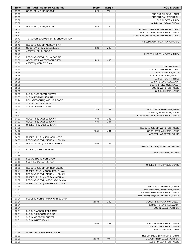| Time           | <b>VISITORS: Southern California</b>                              | <b>Score</b> | <b>Margin</b>   | <b>HOME: Utah</b>                        |
|----------------|-------------------------------------------------------------------|--------------|-----------------|------------------------------------------|
| 07:09          | GOOD! FT by ELLIS, BOOGIE                                         | $14 - 23$    | V <sub>9</sub>  |                                          |
| 07:09          |                                                                   |              |                 | SUB OUT: THIOUNE, LAHAT                  |
| 07:09          |                                                                   |              |                 | SUB OUT: BALLSTAEDT, ELI                 |
| 07:09          |                                                                   |              |                 | SUB IN: BATTIN, RILEY                    |
| 07:09          |                                                                   |              |                 | SUB IN: MAHORCIC, DUSAN                  |
| 07:09<br>06:55 | GOOD! FT by ELLIS, BOOGIE                                         | $14 - 24$    | $V$ 10          | MISSED JUMPER by JENKINS JR., DAVID      |
| 06:53          |                                                                   |              |                 | REBOUND (OFF) by MAHORCIC, DUSAN         |
| 06:52          |                                                                   |              |                 | TURNOVER (BADPASS) by JENKINS JR., DAVID |
| 06:43          | TURNOVER (BADPASS) by PETERSON, DREW                              |              |                 |                                          |
| 06:21          |                                                                   |              |                 | MISSED LAYUP by ANTHONY, MARCO           |
| 06:18          | REBOUND (DEF) by MOBLEY, ISAIAH                                   |              |                 |                                          |
| 06:09          | GOOD! LAYUP by MOBLEY, ISAIAH                                     | 14-26        | V <sub>12</sub> |                                          |
| 06:09          | ASSIST by ELLIS, BOOGIE                                           |              |                 |                                          |
| 05:48          |                                                                   |              |                 | MISSED JUMPER by BATTIN, RILEY           |
| 05:45          | REBOUND (DEF) by ELLIS, BOOGIE                                    |              |                 |                                          |
| 05:36          | GOOD! 3PTR by PETERSON, DREW                                      | 14-29        | V <sub>15</sub> |                                          |
| 05:36<br>05:35 | ASSIST by MOBLEY, ISAIAH                                          |              |                 | TIMEOUT 30SEC                            |
| 05:35          |                                                                   |              |                 | SUB OUT: JENKINS JR., DAVID              |
| 05:35          |                                                                   |              |                 | SUB OUT: GACH, BOTH                      |
| 05:35          |                                                                   |              |                 | SUB OUT: ANTHONY, MARCO                  |
| 05:35          |                                                                   |              |                 | SUB OUT: BATTIN, RILEY                   |
| 05:35          |                                                                   |              |                 | SUB IN: BRENCHLEY, JAXON                 |
| 05:35          |                                                                   |              |                 | SUB IN: STEFANOVIC, LAZAR                |
| 05:35          |                                                                   |              |                 | SUB IN: WORSTER, ROLLIE                  |
| 05:35          |                                                                   |              |                 | SUB IN: MADSEN, GABE                     |
| 05:35          | SUB OUT: GOODWIN, CHEVEZ                                          |              |                 |                                          |
| 05:35          | SUB IN: MORGAN, JOSHUA                                            |              |                 |                                          |
| 05:24          | FOUL (PERSONAL) by ELLIS, BOOGIE                                  |              |                 |                                          |
| 05:24<br>05:24 | SUB OUT: ELLIS, BOOGIE<br>SUB IN: JOHNSON, KOBE                   |              |                 |                                          |
| 05:03          |                                                                   | 17-29        | V <sub>12</sub> | GOOD! 3PTR by MADSEN, GABE               |
| 05:03          |                                                                   |              |                 | ASSIST by BRENCHLEY, JAXON               |
| 04:37          |                                                                   |              |                 | FOUL (PERSONAL) by MAHORCIC, DUSAN       |
| 04:37          | GOOD! FT by MOBLEY, ISAIAH                                        | 17-30        | V <sub>13</sub> |                                          |
| 04:37          | GOOD! FT by MOBLEY, ISAIAH                                        | $17 - 31$    | V <sub>14</sub> |                                          |
| 04:37          | MISSED FT by MOBLEY, ISAIAH                                       |              |                 |                                          |
| 04:36          |                                                                   |              |                 | REBOUND (DEF) by WORSTER, ROLLIE         |
| 04:27          |                                                                   | 20-31        | $V$ 11          | GOOD! 3PTR by MADSEN, GABE               |
| 04:27          |                                                                   |              |                 | ASSIST by WORSTER, ROLLIE                |
| 04:08          | MISSED LAYUP by JOHNSON, KOBE                                     |              |                 |                                          |
| 04:03<br>04:03 | REBOUND (OFF) by MORGAN, JOSHUA<br>GOOD! LAYUP by MORGAN, JOSHUA  | 20-33        | V <sub>13</sub> |                                          |
| 03:57          |                                                                   |              |                 | MISSED LAYUP by WORSTER, ROLLIE          |
| 03:57          | BLOCK by JOHNSON, KOBE                                            |              |                 |                                          |
| 03:57          |                                                                   |              |                 | REBOUND (OFF) by TEAM                    |
| 03:56          |                                                                   |              |                 |                                          |
| 03:56          | SUB OUT: PETERSON, DREW                                           |              |                 |                                          |
| 03:56          | SUB IN: ANDERSON, ETHAN                                           |              |                 |                                          |
| 03:56          |                                                                   |              |                 | MISSED 3PTR by MADSEN, GABE              |
| 03:56          | REBOUND (DEF) by JOHNSON, KOBE                                    |              |                 |                                          |
| 03:41          | MISSED LAYUP by AGBONKPOLO, MAX                                   |              |                 |                                          |
| 03:37<br>03:37 | REBOUND (OFF) by MORGAN, JOSHUA<br>MISSED LAYUP by MORGAN, JOSHUA |              |                 |                                          |
| 03:37          | REBOUND (OFF) by AGBONKPOLO, MAX                                  |              |                 |                                          |
| 03:36          | MISSED LAYUP by AGBONKPOLO, MAX                                   |              |                 |                                          |
| 03:36          |                                                                   |              |                 | BLOCK by STEFANOVIC, LAZAR               |
| 03:32          |                                                                   |              |                 | REBOUND (DEF) by MADSEN, GABE            |
| 03:12          |                                                                   |              |                 | MISSED LAYUP by MAHORCIC, DUSAN          |
| 03:09          |                                                                   |              |                 | REBOUND (OFF) by STEFANOVIC, LAZAR       |
| 03:01          | FOUL (PERSONAL) by MORGAN, JOSHUA                                 |              |                 |                                          |
| 03:01          |                                                                   | 21-33        | V <sub>12</sub> | GOOD! FT by MAHORCIC, DUSAN              |
| 03:01          |                                                                   |              |                 | SUB OUT: BRENCHLEY, JAXON                |
| 03:01          |                                                                   |              |                 | SUB IN: BALLSTAEDT, ELI                  |
| 03:01          | SUB OUT: AGBONKPOLO, MAX                                          |              |                 |                                          |
| 03:01<br>03:01 | SUB OUT: MORGAN, JOSHUA<br>SUB IN: GOODWIN, CHEVEZ                |              |                 |                                          |
| 03:01          | SUB IN: WHITE, ISAIAH                                             |              |                 |                                          |
| 03:01          |                                                                   | 22-33        | $V$ 11          | GOOD! FT by MAHORCIC, DUSAN              |
| 03:01          |                                                                   |              |                 | SUB OUT: MAHORCIC, DUSAN                 |
| 03:01          |                                                                   |              |                 | SUB IN: THIOUNE, LAHAT                   |
| 02:36          | MISSED 3PTR by MOBLEY, ISAIAH                                     |              |                 |                                          |
| 02:32          |                                                                   |              |                 | REBOUND (DEF) by THIOUNE, LAHAT          |
| 02:20          |                                                                   | 25-33        | V8              | GOOD! 3PTR by BALLSTAEDT, ELI            |
| 02:20          |                                                                   |              |                 | ASSIST by WORSTER, ROLLIE                |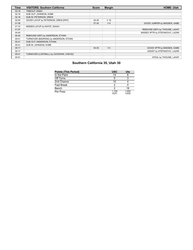| <b>Time</b> | <b>VISITORS: Southern California</b>   | <b>Score</b> | <b>Margin</b>  | <b>HOME: Utah</b>                |
|-------------|----------------------------------------|--------------|----------------|----------------------------------|
| 02:18       | TIMEOUT 30SEC                          |              |                |                                  |
| 02:18       | SUB OUT: JOHNSON, KOBE                 |              |                |                                  |
| 02:18       | SUB IN: PETERSON, DREW                 |              |                |                                  |
| 02:00       | GOOD! LAYUP by PETERSON, DREW [PNT]    | 25-35        | $V$ 10         |                                  |
| 01:36       |                                        | $27 - 35$    | V8             | GOOD! JUMPER by MADSEN, GABE     |
| 01:10       | MISSED LAYUP by WHITE, ISAIAH          |              |                |                                  |
| 01:07       |                                        |              |                | REBOUND (DEF) by THIOUNE, LAHAT  |
| 00:45       |                                        |              |                | MISSED 3PTR by STEFANOVIC, LAZAR |
| 00:42       | REBOUND (DEF) by ANDERSON, ETHAN       |              |                |                                  |
| 00:41       | TURNOVER (BADPASS) by ANDERSON, ETHAN  |              |                |                                  |
| 00:41       | SUB OUT: ANDERSON, ETHAN               |              |                |                                  |
| 00:41       | SUB IN: JOHNSON, KOBE                  |              |                |                                  |
| 00:17       |                                        | $30 - 35$    | V <sub>5</sub> | GOOD! 3PTR by MADSEN, GABE       |
| 00:17       |                                        |              |                | ASSIST by STEFANOVIC, LAZAR      |
| 00:01       | TURNOVER (LOSTBALL) by GOODWIN, CHEVEZ |              |                |                                  |
| 00:01       |                                        |              |                | STEAL by THIOUNE, LAHAT          |

# **Southern California 35, Utah 30**

| <b>Points (This Period)</b> | <b>USC</b>     | Ute            |
|-----------------------------|----------------|----------------|
| In the Paint                | 14             |                |
| Off Turns                   | 5              |                |
| 2nd Chance                  | 10             |                |
| Fast Break                  |                |                |
| Bench                       |                | 18             |
| Per Poss                    | 1.129<br>15/31 | 1.000<br>13/30 |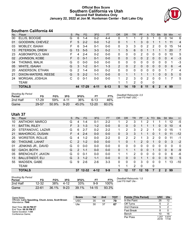### **Official Box Score Southern California vs Utah Second Half Statistics Only January 22, 2022 at Jon M. Huntsman Center - Salt Lake City**



## **Southern California 44**

| No. | Plaver                | S  | <b>Pts</b> | FG.       | 3FG      | <b>FT</b> | 0R             | <b>DR</b> | TR             | <b>PF</b> | A              | TO       | <b>Blk</b> | <b>Stl</b> | Min | $+/-$          |
|-----|-----------------------|----|------------|-----------|----------|-----------|----------------|-----------|----------------|-----------|----------------|----------|------------|------------|-----|----------------|
| 00  | ELLIS, BOOGIE         | G  | 6          | 1-4       | $0 - 2$  | 4-4       | 0              |           |                | 2         | 3              |          | 0          | 0          | 14  | 6              |
| 01  | GOODWIN, CHEVEZ       | F  | 5          | $2 - 2$   | $0 - 0$  | $1 - 2$   | $\mathbf{0}$   |           | 1              | 3         | $\Omega$       |          |            |            | 11  | 4              |
| 03  | <b>MOBLEY, ISAIAH</b> | F  | 6          | $3 - 4$   | $0 - 1$  | $0-0$     | $\mathbf{0}$   | 3         | 3              | 0         | 2              | 2        | 0          | 0          | 15  | 14             |
| 13  | PETERSON, DREW        | G  | 13         | $5 - 5$   | $3 - 3$  | $0 - 2$   | 1              | 5         | 6              | $\Omega$  |                |          |            |            | 20  | $\overline{7}$ |
| 23  | AGBONKPOLO, MAX       | F  | 4          | $2 - 4$   | $0 - 2$  | $0 - 0$   | $\mathbf{0}$   | 0         | 0              | 2         | 0              | 0        | 0          | 0          | 10  | 5              |
| 02  | JOHNSON, KOBE         | F. | $\Omega$   | $0 - 1$   | $0 - 1$  | $0 - 0$   | $\Omega$       | $\Omega$  | 0              | $\Omega$  | $\overline{2}$ | 0        | 0          | $\Omega$   | 4   | $-3$           |
| 04  | THOMAS, MALIK         | G  | $\Omega$   | $0 - 0$   | $0 - 0$  | $0-0$     | $\mathbf{0}$   | 0         | 0              | $\Omega$  | 0              | 0        | 0          | 0          | 1   | $-3$           |
| 05  | <b>WHITE, ISAIAH</b>  | G  | 3          | $1 - 2$   | $0 - 1$  | $1 - 3$   | $\overline{2}$ | $\Omega$  | $\overline{2}$ | $\Omega$  | $\Omega$       | $\Omega$ | $\Omega$   | $\Omega$   | 6   | $-4$           |
| 20  | ANDERSON, ETHAN       | G  | 2          | 1-4       | $0 - 0$  | $0 - 2$   | $\Omega$       | 0         | 0              | 0         | $\Omega$       | 0        | 0          |            |     | 4              |
| 21  | DIXON-WATERS, REESE   | G  | 5          | $2 - 2$   | $1 - 1$  | $0 - 0$   | $\Omega$       | 1         | $\mathbf{1}$   |           |                | 1        | $\Omega$   | 0          | 5   | 0              |
| 24  | MORGAN, JOSHUA        | С  | $\Omega$   | $0 - 1$   | $0 - 0$  | $0 - 0$   |                | 2         | 3              | 0         | 2              | 0        | 0          |            | 7   | 5              |
|     | <b>TEAM</b>           |    |            |           |          |           |                | 1         | 2              | 0         |                | 0        |            |            |     |                |
|     | <b>TOTALS</b>         |    | 44         | $17 - 29$ | $4 - 11$ | $6 - 13$  | 5              | 14        | 19             | 8         | 11             | 6        | 2          | 4          | 99  |                |

| <b>Shooting By Period</b><br>Period | FG        | FG%   | 3FG      | 3FG%  | FT.       | FT%   | Deadball Rebounds: 2,0<br>Last FG Half: USC - |
|-------------------------------------|-----------|-------|----------|-------|-----------|-------|-----------------------------------------------|
| 2nd Half                            | $17 - 29$ | 59%   | 4-11     | 36%   | $6-13$    | 46%   |                                               |
| Game                                | 29-57     | 50.9% | $9 - 20$ | 45.0% | $12 - 20$ | 60.0% |                                               |

### **Utah 37**

| No. | Player                  | S | <b>Pts</b>     | FG        | 3FG      | <b>FT</b> | <b>OR</b> | DR            | <b>TR</b>      | <b>PF</b>         | A            | TO       | <b>Blk</b> | <b>Stl</b> | Min         | $+/-$          |
|-----|-------------------------|---|----------------|-----------|----------|-----------|-----------|---------------|----------------|-------------------|--------------|----------|------------|------------|-------------|----------------|
| 10  | ANTHONY, MARCO          | G | 4              | 1-4       | $0 - 1$  | $2 - 2$   |           | 2             | 3              |                   | 2            |          |            |            | 12          | $-5$           |
| 11  | <b>BATTIN, RILEY</b>    | F | 3              | $1 - 3$   | $1 - 2$  | $0 - 0$   | $\Omega$  | $\Omega$      | 0              |                   |              |          | 0          | 0          | 10          | $\overline{4}$ |
| 20  | STEFANOVIC, LAZAR       | G | 6              | $2 - 7$   | $0 - 2$  | $2 - 2$   | 1         | 2             | 3              | 2                 | 2            |          | 0          | 0          | 15          | 1              |
| 21  | <b>MAHORCIC, DUSAN</b>  | F | 4              | $2 - 4$   | $0 - 0$  | $0 - 0$   | $\Omega$  | 3             | 3              |                   |              | $\Omega$ |            | 0          | 11          | $-12$          |
| 25  | <b>WORSTER, ROLLIE</b>  | G | 4              | $1 - 2$   | $0 - 0$  | $2 - 2$   | 0         | $\mathcal{P}$ | $\overline{2}$ | 1                 | 3            | 2        | 0          | 0          | 11          | -1             |
| 00  | THIOUNE, LAHAT          | C | $\overline{2}$ | $1 - 2$   | $0 - 0$  | $0 - 0$   |           | 0             | 1              | 2                 | $\mathbf{0}$ |          | 0          | 0          | 3           | $-2$           |
| 01  | JENKINS JR., DAVID      | G | 0              | $0 - 0$   | $0 - 0$  | $0 - 0$   | 0         | 0             | 0              | 0                 | 0            | ∩        | 0          | 0          | $\mathbf 0$ | 0              |
| 02  | <b>GACH, BOTH</b>       | G | $2^{\circ}$    | $1 - 1$   | $0 - 0$  | $0 - 0$   | $\Omega$  |               | 1              | 0                 | $\Omega$     | 1        | 0          | 0          | 8           | $-9$           |
| 05  | <b>BRENCHLEY, JAXON</b> | G | 0              | $0 - 1$   | $0 - 0$  | $0 - 0$   | 1         |               | $\overline{2}$ | 0                 | 0            | $\Omega$ | 0          | 0          | 6           | -6             |
| 13  | <b>BALLSTAEDT, ELI</b>  | G | 3              | $1 - 2$   | $1 - 1$  | $0 - 0$   | $\Omega$  | 0             | 0              |                   |              | $\Omega$ | $\Omega$   | $\Omega$   | 10          | 5              |
| 55  | MADSEN, GABE            | G | 9              | 2-6       | $2 - 6$  | $3 - 3$   | 0         | 0             | 0              | 3                 | 0            | 0        | 0          |            | 13          | $-10$          |
|     | TEAM                    |   |                |           |          |           |           | 1             | $\overline{2}$ | 0                 |              | 0        |            |            |             |                |
|     | <b>TOTALS</b>           |   | 37             | $12 - 32$ | $4 - 12$ | $9 - 9$   | 5         | 12            | 17             | $12 \overline{ }$ | 10           |          | 2          | 2          | 99          |                |

| <b>Shooting By Period</b><br>Period | FG        | FG%      | 3FG      | 3FG%  | FT.       | FT%   | Deadball Rebounds: 1,0<br>Last FG Half: Ute - |
|-------------------------------------|-----------|----------|----------|-------|-----------|-------|-----------------------------------------------|
| 2nd Half                            | $12 - 32$ | 38%      | 4-12     | 33%   | 9-9       | 100%  |                                               |
| Game                                | $22 - 61$ | $36.1\%$ | $9 - 23$ | 39.1% | $14 - 15$ | 93.3% |                                               |

Game Notes: Officials: **Larry Spaulding, Chuck Jones, Scott Brown** Attendance: **7846** Start Time: **06:36 PM ET** End Time: **08:30 PM ET** Game Duration: **1:54** Conference Game; **Score 1st 2nd TOT** USC 35 44 **79** Ute 30 37 **67 Points (This Period) USC Ute** In the Paint 26 12 Off Turns 5 2<br>
2nd Chance 5 2 2nd Chance 5 2<br>Fast Break 8 0 Fast Break 8 0<br>Bench 10 16 **Bench** Per Poss 1.257<br>20/35 0.974 17/38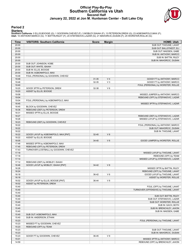#### **Official Play-By-Play Southern California vs Utah Second Half January 22, 2022 at Jon M. Huntsman Center - Salt Lake City**



#### **Period 2**

<mark>Starters:</mark><br>Southern California: 0 ELLIS,BOOGIE (G); 1 GOODWIN,CHEVEZ (F); 3 MOBLEY,ISAIAH (F); 13 PETERSON,DREW (G); 23 AGBONKPOLO,MAX (F);<br>Utah: 10 ANTHONY,MARCO (G); 11 BATTIN,RILEY (F); 20 STEFANOVIC,LAZAR (G); 21 MAHO

| Time           | <b>VISITORS: Southern California</b>             | <b>Score</b> | <b>Margin</b>  | <b>HOME: Utah</b>                      |
|----------------|--------------------------------------------------|--------------|----------------|----------------------------------------|
| 20:00          |                                                  |              |                | SUB OUT: THIOUNE, LAHAT                |
| 20:00          |                                                  |              |                | SUB OUT: BALLSTAEDT, ELI               |
| 20:00          |                                                  |              |                | SUB OUT: MADSEN, GABE                  |
| 20:00          |                                                  |              |                | SUB IN: ANTHONY, MARCO                 |
| 20:00          |                                                  |              |                | SUB IN: BATTIN, RILEY                  |
| 20:00          |                                                  |              |                | SUB IN: MAHORCIC, DUSAN                |
| 20:00          | SUB OUT: JOHNSON, KOBE                           |              |                |                                        |
| 20:00          | SUB OUT: WHITE, ISAIAH                           |              |                |                                        |
| 20:00<br>20:00 | SUB IN: ELLIS, BOOGIE<br>SUB IN: AGBONKPOLO, MAX |              |                |                                        |
| 19:48          | FOUL (PERSONAL) by GOODWIN, CHEVEZ               |              |                |                                        |
| 19:48          |                                                  | $31 - 35$    | V <sub>4</sub> | GOOD! FT by ANTHONY, MARCO             |
| 19:48          |                                                  | 32-35        | $V_3$          | GOOD! FT by ANTHONY, MARCO             |
| 19:40          |                                                  |              |                | FOUL (PERSONAL) by WORSTER, ROLLIE     |
| 19:20          | GOOD! 3PTR by PETERSON, DREW                     | 32-38        | $V_6$          |                                        |
| 19:20          | ASSIST by ELLIS, BOOGIE                          |              |                |                                        |
| 19:06          |                                                  |              |                | MISSED JUMPER by ANTHONY, MARCO        |
| 19:04          |                                                  |              |                | REBOUND (OFF) by STEFANOVIC, LAZAR     |
| 19:04          | FOUL (PERSONAL) by AGBONKPOLO, MAX               |              |                |                                        |
| 18:45          |                                                  |              |                | MISSED 3PTR by STEFANOVIC, LAZAR       |
| 18:45          | BLOCK by GOODWIN, CHEVEZ                         |              |                |                                        |
| 18:36          | REBOUND (DEF) by PETERSON, DREW                  |              |                |                                        |
| 18:31          | MISSED 3PTR by ELLIS, BOOGIE                     |              |                |                                        |
| 18:27          |                                                  |              |                | REBOUND (DEF) by STEFANOVIC, LAZAR     |
| 18:26          |                                                  |              |                | MISSED LAYUP by STEFANOVIC, LAZAR      |
| 18:23<br>18:22 | REBOUND (DEF) by GOODWIN, CHEVEZ                 |              |                | FOUL (PERSONAL) by ANTHONY, MARCO      |
| 18:22          |                                                  |              |                | SUB OUT: MAHORCIC, DUSAN               |
| 18:22          |                                                  |              |                | SUB IN: THIOUNE, LAHAT                 |
| 18:22          | GOOD! LAYUP by AGBONKPOLO, MAX [PNT]             | 32-40        | V8             |                                        |
| 18:22          | ASSIST by ELLIS, BOOGIE                          |              |                |                                        |
| 18:05          |                                                  | 34-40        | $V_6$          | GOOD! JUMPER by WORSTER, ROLLIE        |
| 17:48          | MISSED 3PTR by AGBONKPOLO, MAX                   |              |                |                                        |
| 17:45          | REBOUND (OFF) by PETERSON, DREW                  |              |                |                                        |
| 17:43          | TURNOVER (LOSTBALL) by GOODWIN, CHEVEZ           |              |                |                                        |
| 17:18          |                                                  |              |                | MISSED LAYUP by THIOUNE, LAHAT         |
| 17:18          |                                                  |              |                | REBOUND (OFF) by TEAM                  |
| 17:14          |                                                  |              |                | MISSED LAYUP by STEFANOVIC, LAZAR      |
| 17:12          | REBOUND (DEF) by MOBLEY, ISAIAH                  |              |                |                                        |
| 16:46          | GOOD! LAYUP by MOBLEY, ISAIAH [PNT]              | $34 - 42$    | V8             |                                        |
| 16:28          |                                                  |              |                | MISSED 3PTR by BATTIN, RILEY           |
| 16:24          |                                                  |              | $V_6$          | REBOUND (OFF) by THIOUNE, LAHAT        |
| 16:18          |                                                  | 36-42        |                | GOOD! LAYUP by THIOUNE, LAHAT          |
| 16:18<br>16:02 | GOOD! LAYUP by ELLIS, BOOGIE [PNT]               | 36-44        | V8             | ASSIST by WORSTER, ROLLIE              |
| 16:02          | ASSIST by PETERSON, DREW                         |              |                |                                        |
| 15:40          |                                                  |              |                | FOUL (OFF) by THIOUNE, LAHAT           |
| 15:40          |                                                  |              |                | TURNOVER (OFFENSIVE) by THIOUNE, LAHAT |
| 15:40          |                                                  |              |                |                                        |
| 15:40          |                                                  |              |                | SUB OUT: BATTIN, RILEY                 |
| 15:40          |                                                  |              |                | SUB OUT: STEFANOVIC, LAZAR             |
| 15:40          |                                                  |              |                | SUB OUT: WORSTER, ROLLIE               |
| 15:40          |                                                  |              |                | SUB IN: GACH, BOTH                     |
| 15:40          |                                                  |              |                | SUB IN: BRENCHLEY, JAXON               |
| 15:40          |                                                  |              |                | SUB IN: MADSEN, GABE                   |
| 15:40          | SUB OUT: AGBONKPOLO, MAX                         |              |                |                                        |
| 15:40          | SUB IN: ANDERSON, ETHAN                          |              |                |                                        |
| 15:23          |                                                  |              |                | FOUL (PERSONAL) by THIOUNE, LAHAT      |
| 15:23          | MISSED FT by GOODWIN, CHEVEZ                     |              |                |                                        |
| 15:23          | REBOUND (OFF) by TEAM                            |              |                |                                        |
| 15:23          |                                                  |              |                | SUB OUT: THIOUNE, LAHAT                |
| 15:23<br>15:23 |                                                  |              | V <sub>9</sub> | SUB IN: MAHORCIC, DUSAN                |
| 15:01          | GOOD! FT by GOODWIN, CHEVEZ                      | 36-45        |                | MISSED 3PTR by ANTHONY, MARCO          |
| 14:59          |                                                  |              |                | REBOUND (OFF) by BRENCHLEY, JAXON      |
|                |                                                  |              |                |                                        |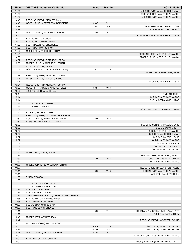| Time           | <b>VISITORS: Southern California</b>              | <b>Score</b> | <b>Margin</b>   | <b>HOME: Utah</b>                                      |
|----------------|---------------------------------------------------|--------------|-----------------|--------------------------------------------------------|
| 14:55          |                                                   |              |                 | MISSED LAYUP by MAHORCIC, DUSAN                        |
| 14:53          |                                                   |              |                 | REBOUND (OFF) by ANTHONY, MARCO                        |
| 14:52          |                                                   |              |                 | MISSED LAYUP by ANTHONY, MARCO                         |
| 14:49          | REBOUND (DEF) by MOBLEY, ISAIAH                   |              |                 |                                                        |
| 14:43          | GOOD! LAYUP by PETERSON, DREW [PNT]               | 36-47        | V <sub>11</sub> |                                                        |
| 14:29          |                                                   | 38-47        | V <sub>9</sub>  | GOOD! LAYUP by MAHORCIC, DUSAN                         |
| 14:29          |                                                   |              |                 | ASSIST by ANTHONY, MARCO                               |
| 14:22          | GOOD! LAYUP by ANDERSON, ETHAN                    | 38-49        | V <sub>11</sub> |                                                        |
| 14:22          | SUB OUT: ELLIS, BOOGIE                            |              |                 | FOUL (PERSONAL) by MAHORCIC, DUSAN                     |
| 14:22<br>14:22 | SUB OUT: GOODWIN, CHEVEZ                          |              |                 |                                                        |
| 14:22          | SUB IN: DIXON-WATERS, REESE                       |              |                 |                                                        |
| 14:22          | SUB IN: MORGAN, JOSHUA                            |              |                 |                                                        |
| 14:22          | MISSED FT by ANDERSON, ETHAN                      |              |                 |                                                        |
| 14:21          |                                                   |              |                 | REBOUND (DEF) by BRENCHLEY, JAXON                      |
| 14:05          |                                                   |              |                 | MISSED LAYUP by BRENCHLEY, JAXON                       |
| 14:02          | REBOUND (DEF) by PETERSON, DREW                   |              |                 |                                                        |
| 13:59          | MISSED LAYUP by ANDERSON, ETHAN                   |              |                 |                                                        |
| 13:58          | REBOUND (OFF) by TEAM                             |              |                 |                                                        |
| 13:52          | GOOD! JUMPER by MOBLEY, ISAIAH [PNT]              | 38-51        | V <sub>13</sub> |                                                        |
| 13:41          |                                                   |              |                 | MISSED 3PTR by MADSEN, GABE                            |
| 13:38          | REBOUND (DEF) by MORGAN, JOSHUA                   |              |                 |                                                        |
| 13:28          | MISSED LAYUP by MORGAN, JOSHUA                    |              |                 |                                                        |
| 13:28          |                                                   |              |                 | BLOCK by MAHORCIC, DUSAN                               |
| 13:24          | REBOUND (OFF) by MORGAN, JOSHUA                   |              |                 |                                                        |
| 13:22          | GOOD! 3PTR by DIXON-WATERS, REESE                 | 38-54        | $V$ 16          |                                                        |
| 13:22          | ASSIST by MORGAN, JOSHUA                          |              |                 |                                                        |
| 13:14          |                                                   |              |                 | TIMEOUT 30SEC                                          |
| 13:14          |                                                   |              |                 | SUB OUT: ANTHONY, MARCO                                |
| 13:14          |                                                   |              |                 | SUB IN: STEFANOVIC, LAZAR                              |
| 13:14          | SUB OUT: MOBLEY, ISAIAH                           |              |                 |                                                        |
| 13:14          | SUB IN: WHITE, ISAIAH                             |              |                 |                                                        |
| 12:52          |                                                   |              |                 | MISSED LAYUP by STEFANOVIC, LAZAR                      |
| 12:52          | BLOCK by PETERSON, DREW                           |              |                 |                                                        |
| 12:52          | REBOUND (DEF) by DIXON-WATERS, REESE              |              |                 |                                                        |
| 12:52          | GOOD! LAYUP by WHITE, ISAIAH [FB/PNT]             | 38-56        | V <sub>18</sub> |                                                        |
| 12:52<br>12:52 | ASSIST by DIXON-WATERS, REESE                     |              |                 |                                                        |
| 12:52          |                                                   |              |                 | FOUL (PERSONAL) by MADSEN, GABE<br>SUB OUT: GACH, BOTH |
| 12:52          |                                                   |              |                 | SUB OUT: BRENCHLEY, JAXON                              |
| 12:52          |                                                   |              |                 | SUB OUT: MAHORCIC, DUSAN                               |
| 12:52          |                                                   |              |                 | SUB OUT: MADSEN, GABE                                  |
| 12:52          |                                                   |              |                 | SUB IN: ANTHONY, MARCO                                 |
| 12:52          |                                                   |              |                 | SUB IN: BATTIN, RILEY                                  |
| 12:52          |                                                   |              |                 | SUB IN: BALLSTAEDT, ELI                                |
| 12:52          |                                                   |              |                 | SUB IN: WORSTER, ROLLIE                                |
| 12:52          | MISSED FT by WHITE, ISAIAH                        |              |                 |                                                        |
| 12:35          |                                                   |              |                 | REBOUND (DEF) by ANTHONY, MARCO                        |
| 12:33          |                                                   | 41-56        | V <sub>15</sub> | GOOD! 3PTR by BATTIN, RILEY                            |
| 12:33          |                                                   |              |                 | ASSIST by ANTHONY, MARCO                               |
| 11:59          | MISSED JUMPER by ANDERSON, ETHAN                  |              |                 |                                                        |
| 11:57          |                                                   |              |                 | REBOUND (DEF) by WORSTER, ROLLIE                       |
| 11:41          |                                                   | 43-56        | V <sub>13</sub> | GOOD! LAYUP by ANTHONY, MARCO                          |
| 11:41          |                                                   |              |                 | ASSIST by BALLSTAEDT, ELI                              |
| 11:36          | TIMEOUT 30SEC                                     |              |                 |                                                        |
| 11:36          |                                                   |              |                 |                                                        |
| 11:36          | SUB OUT: PETERSON, DREW                           |              |                 |                                                        |
| 11:36          | SUB OUT: ANDERSON, ETHAN                          |              |                 |                                                        |
| 11:36          | SUB IN: ELLIS, BOOGIE                             |              |                 |                                                        |
| 11:36          | SUB IN: MOBLEY, ISAIAH                            |              |                 |                                                        |
| 11:35          | TURNOVER (LOSTBALL) by DIXON-WATERS, REESE        |              |                 |                                                        |
| 11:35          | SUB OUT: DIXON-WATERS, REESE                      |              |                 |                                                        |
| 11:35<br>11:23 | SUB IN: PETERSON, DREW<br>SUB OUT: MORGAN, JOSHUA |              |                 |                                                        |
| 11:23          | SUB IN: GOODWIN, CHEVEZ                           |              |                 |                                                        |
| 11:11          |                                                   | 45-56        | $V$ 11          | GOOD! LAYUP by STEFANOVIC, LAZAR [PNT]                 |
| 11:11          |                                                   |              |                 | ASSIST by BATTIN, RILEY                                |
| 10:45          | MISSED 3PTR by WHITE, ISAIAH                      |              |                 |                                                        |
| 10:42          |                                                   |              |                 | REBOUND (DEF) by WORSTER, ROLLIE                       |
| 10:35          | FOUL (PERSONAL) by ELLIS, BOOGIE                  |              |                 |                                                        |
| 10:35          |                                                   | 46-56        | $V$ 10          | GOOD! FT by WORSTER, ROLLIE                            |
| 10:35          |                                                   | 47-56        | V <sub>9</sub>  | GOOD! FT by WORSTER, ROLLIE                            |
| 10:18          | GOOD! LAYUP by GOODWIN, CHEVEZ                    | 47-58        | V <sub>11</sub> |                                                        |
| 10:02          |                                                   |              |                 | TURNOVER (BADPASS) by ANTHONY, MARCO                   |
| 10:02          | STEAL by GOODWIN, CHEVEZ                          |              |                 |                                                        |
| 10:01          |                                                   |              |                 | FOUL (PERSONAL) by STEFANOVIC, LAZAR                   |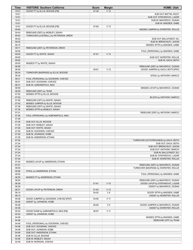| Time           | <b>VISITORS: Southern California</b>                             | <b>Score</b> | <b>Margin</b>   | <b>HOME: Utah</b>                                                         |
|----------------|------------------------------------------------------------------|--------------|-----------------|---------------------------------------------------------------------------|
| 10:01          | GOOD! FT by ELLIS, BOOGIE [FB]                                   | 47-59        | V <sub>12</sub> |                                                                           |
| 10:01          |                                                                  |              |                 | SUB OUT: BATTIN, RILEY                                                    |
| 10:01          |                                                                  |              |                 | SUB OUT: STEFANOVIC, LAZAR                                                |
| 10:01          |                                                                  |              |                 | SUB IN: MAHORCIC, DUSAN                                                   |
| 10:01          |                                                                  |              |                 | SUB IN: MADSEN, GABE                                                      |
| 10:01          | GOOD! FT by ELLIS, BOOGIE [FB]                                   | 47-60        | V <sub>13</sub> |                                                                           |
| 09:46          |                                                                  |              |                 | MISSED JUMPER by WORSTER, ROLLIE                                          |
| 09:43          | REBOUND (DEF) by MOBLEY, ISAIAH                                  |              |                 |                                                                           |
| 09:42          | TURNOVER (LOSTBALL) by PETERSON, DREW                            |              |                 |                                                                           |
| 09:42<br>09:42 |                                                                  |              |                 | SUB OUT: BALLSTAEDT, ELI<br>SUB IN: BRENCHLEY, JAXON                      |
| 09:15          |                                                                  |              |                 | MISSED 3PTR by MADSEN, GABE                                               |
| 09:11          | REBOUND (DEF) by PETERSON, DREW                                  |              |                 |                                                                           |
| 09:00          |                                                                  |              |                 | FOUL (PERSONAL) by MADSEN, GABE                                           |
| 09:00          | GOOD! FT by WHITE, ISAIAH                                        | 47-61        | V <sub>14</sub> |                                                                           |
| 09:00          |                                                                  |              |                 | SUB OUT: WORSTER, ROLLIE                                                  |
| 09:00          |                                                                  |              |                 | SUB IN: GACH, BOTH                                                        |
| 09:00          | MISSED FT by WHITE, ISAIAH                                       |              |                 |                                                                           |
| 08:59          |                                                                  |              |                 | REBOUND (DEF) by MAHORCIC, DUSAN                                          |
| 08:45          |                                                                  | 49-61        | V <sub>12</sub> | GOOD! JUMPER by GACH, BOTH [PNT]                                          |
| 08:34          | TURNOVER (BADPASS) by ELLIS, BOOGIE                              |              |                 |                                                                           |
| 08:34          |                                                                  |              |                 | STEAL by ANTHONY, MARCO                                                   |
| 08:31          | FOUL (PERSONAL) by GOODWIN, CHEVEZ                               |              |                 |                                                                           |
| 08:31          | SUB OUT: GOODWIN, CHEVEZ                                         |              |                 |                                                                           |
| 08:31          | SUB IN: AGBONKPOLO, MAX                                          |              |                 |                                                                           |
| 08:09          |                                                                  |              |                 | MISSED LAYUP by MAHORCIC, DUSAN                                           |
| 08:08          | REBOUND (DEF) by TEAM                                            |              |                 |                                                                           |
| 07:52          | MISSED 3PTR by ELLIS, BOOGIE                                     |              |                 |                                                                           |
| 07:52          |                                                                  |              |                 | BLOCK by ANTHONY, MARCO                                                   |
| 07:46<br>07:42 | REBOUND (OFF) by WHITE, ISAIAH<br>MISSED JUMPER by ELLIS, BOOGIE |              |                 |                                                                           |
| 07:38          | REBOUND (OFF) by WHITE, ISAIAH                                   |              |                 |                                                                           |
| 07:35          | MISSED 3PTR by MOBLEY, ISAIAH                                    |              |                 |                                                                           |
| 07:31          |                                                                  |              |                 | REBOUND (DEF) by ANTHONY, MARCO                                           |
| 07:26          | FOUL (PERSONAL) by AGBONKPOLO, MAX                               |              |                 |                                                                           |
| 07:26          |                                                                  |              |                 |                                                                           |
| 07:26          | SUB OUT: ELLIS, BOOGIE                                           |              |                 |                                                                           |
| 07:26          | SUB OUT: MOBLEY, ISAIAH                                          |              |                 |                                                                           |
| 07:26          | SUB OUT: WHITE, ISAIAH                                           |              |                 |                                                                           |
| 07:26          | SUB IN: GOODWIN, CHEVEZ                                          |              |                 |                                                                           |
| 07:26          | SUB IN: JOHNSON, KOBE                                            |              |                 |                                                                           |
| 07:26          | SUB IN: ANDERSON, ETHAN                                          |              |                 |                                                                           |
| 07:24          |                                                                  |              |                 | TURNOVER (OUTOFBOUNDS) by GACH, BOTH                                      |
| 07:24          |                                                                  |              |                 | SUB OUT: GACH, BOTH                                                       |
| 07:24          |                                                                  |              |                 | SUB OUT: BRENCHLEY, JAXON                                                 |
| 07:24          |                                                                  |              |                 | SUB OUT: ANTHONY, MARCO                                                   |
| 07:24          |                                                                  |              |                 | SUB IN: BALLSTAEDT, ELI                                                   |
| 07:24          |                                                                  |              |                 | SUB IN: STEFANOVIC, LAZAR                                                 |
| 07:24          |                                                                  |              |                 | SUB IN: WORSTER, ROLLIE                                                   |
| 07:04<br>07:01 | MISSED LAYUP by ANDERSON, ETHAN                                  |              |                 |                                                                           |
| 06:56          |                                                                  |              |                 | REBOUND (DEF) by MAHORCIC, DUSAN<br>TURNOVER (BADPASS) by WORSTER, ROLLIE |
| 06:56          | STEAL by ANDERSON, ETHAN                                         |              |                 |                                                                           |
| 06:55          |                                                                  |              |                 | FOUL (PERSONAL) by MADSEN, GABE                                           |
| 06:55          | MISSED FT by ANDERSON, ETHAN                                     |              |                 |                                                                           |
| 06:54          |                                                                  |              |                 | REBOUND (DEF) by MAHORCIC, DUSAN                                          |
| 06:39          |                                                                  | $51 - 61$    | $V$ 10          | GOOD! LAYUP by STEFANOVIC, LAZAR                                          |
| 06:39          |                                                                  |              |                 | ASSIST by MAHORCIC, DUSAN                                                 |
| 06:21          | GOOD! LAYUP by PETERSON, DREW                                    | 51-63        | V <sub>12</sub> |                                                                           |
| 06:10          |                                                                  | 54-63        | V <sub>9</sub>  | GOOD! 3PTR by MADSEN, GABE                                                |
| 06:10          |                                                                  |              |                 | ASSIST by WORSTER, ROLLIE                                                 |
| 05:48          | GOOD! JUMPER by GOODWIN, CHEVEZ [PNT]                            | 54-65        | $V$ 11          |                                                                           |
| 05:48          | ASSIST by JOHNSON, KOBE                                          |              |                 |                                                                           |
| 05:38          |                                                                  | 56-65        | V <sub>9</sub>  | GOOD! JUMPER by MAHORCIC, DUSAN                                           |
| 05:38          |                                                                  |              |                 | ASSIST by WORSTER, ROLLIE                                                 |
| 05:24          | GOOD! DUNK by AGBONKPOLO, MAX [FB]                               | 56-67        | $V$ 11          |                                                                           |
| 05:24          | ASSIST by JOHNSON, KOBE                                          |              |                 |                                                                           |
| 04:49          |                                                                  |              |                 | MISSED 3PTR by MADSEN, GABE                                               |
| 04:48          |                                                                  |              |                 | REBOUND (OFF) by TEAM                                                     |
| 04:48          | FOUL (PERSONAL) by GOODWIN, CHEVEZ                               |              |                 |                                                                           |
| 04:48          | SUB OUT: GOODWIN, CHEVEZ                                         |              |                 |                                                                           |
| 04:48<br>04:48 | SUB OUT: JOHNSON, KOBE<br>SUB OUT: ANDERSON, ETHAN               |              |                 |                                                                           |
| 04:48          | SUB IN: ELLIS, BOOGIE                                            |              |                 |                                                                           |
| 04:48          | SUB IN: MOBLEY, ISAIAH                                           |              |                 |                                                                           |
| 04:48          | SUB IN: MORGAN, JOSHUA                                           |              |                 |                                                                           |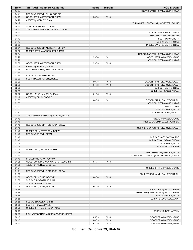| Time           | <b>VISITORS: Southern California</b>                 | <b>Score</b>   | <b>Margin</b>                      | <b>HOME: Utah</b>                                              |
|----------------|------------------------------------------------------|----------------|------------------------------------|----------------------------------------------------------------|
| 04:44          |                                                      |                |                                    | MISSED 3PTR by STEFANOVIC, LAZAR                               |
| 04:41          | REBOUND (DEF) by ELLIS, BOOGIE                       |                |                                    |                                                                |
| 04:29          | GOOD! 3PTR by PETERSON, DREW                         | 56-70          | V <sub>14</sub>                    |                                                                |
| 04:29          | ASSIST by MOBLEY, ISAIAH                             |                |                                    |                                                                |
| 04:17          |                                                      |                |                                    | TURNOVER (LOSTBALL) by WORSTER, ROLLIE                         |
| 04:17          | STEAL by PETERSON, DREW                              |                |                                    |                                                                |
| 04:13<br>04:13 | TURNOVER (TRAVEL) by MOBLEY, ISAIAH                  |                |                                    |                                                                |
| 04:13          |                                                      |                |                                    | SUB OUT: MAHORCIC, DUSAN<br>SUB OUT: WORSTER, ROLLIE           |
| 04:13          |                                                      |                |                                    | SUB IN: GACH, BOTH                                             |
| 04:13          |                                                      |                |                                    | SUB IN: BATTIN, RILEY                                          |
| 03:53          |                                                      |                |                                    | MISSED LAYUP by BATTIN, RILEY                                  |
| 03:51          | REBOUND (DEF) by MORGAN, JOSHUA                      |                |                                    |                                                                |
| 03:37          | MISSED 3PTR by AGBONKPOLO, MAX                       |                |                                    |                                                                |
| 03:34          |                                                      |                |                                    | REBOUND (DEF) by STEFANOVIC, LAZAR                             |
| 03:29          |                                                      | 59-70          | $V$ 11                             | GOOD! 3PTR by MADSEN, GABE                                     |
| 03:29          |                                                      |                |                                    | ASSIST by STEFANOVIC, LAZAR                                    |
| 02:56          | GOOD! 3PTR by PETERSON, DREW                         | 59-73          | V <sub>14</sub>                    |                                                                |
| 02:56          | ASSIST by MOBLEY, ISAIAH                             |                |                                    |                                                                |
| 02:39          | FOUL (PERSONAL) by ELLIS, BOOGIE                     |                |                                    |                                                                |
| 02:39          |                                                      |                |                                    |                                                                |
| 02:39          | SUB OUT: AGBONKPOLO, MAX                             |                |                                    |                                                                |
| 02:39          | SUB IN: DIXON-WATERS, REESE                          |                |                                    |                                                                |
| 02:39          |                                                      | 60-73<br>61-73 | V <sub>13</sub><br>V <sub>12</sub> | GOOD! FT by STEFANOVIC, LAZAR<br>GOOD! FT by STEFANOVIC, LAZAR |
| 02:39<br>02:39 |                                                      |                |                                    | SUB OUT: BATTIN, RILEY                                         |
| 02:39          |                                                      |                |                                    | SUB IN: MAHORCIC, DUSAN                                        |
| 02:12          | GOOD! LAYUP by MOBLEY, ISAIAH                        | 61-75          | V <sub>14</sub>                    |                                                                |
| 02:12          | ASSIST by ELLIS, BOOGIE                              |                |                                    |                                                                |
| 01:55          |                                                      | 64-75          | V <sub>11</sub>                    | GOOD! 3PTR by BALLSTAEDT, ELI                                  |
| 01:55          |                                                      |                |                                    | ASSIST by STEFANOVIC, LAZAR                                    |
| 01:52          |                                                      |                |                                    | <b>TIMEOUT TEAM</b>                                            |
| 01:52          |                                                      |                |                                    | SUB OUT: GACH, BOTH                                            |
| 01:52          |                                                      |                |                                    | SUB IN: ANTHONY, MARCO                                         |
| 01:49          | TURNOVER (BADPASS) by MOBLEY, ISAIAH                 |                |                                    |                                                                |
| 01:49          |                                                      |                |                                    | STEAL by MADSEN, GABE                                          |
| 01:46          |                                                      |                |                                    | MISSED LAYUP by BALLSTAEDT, ELI                                |
| 01:46          | REBOUND (DEF) by PETERSON, DREW                      |                |                                    |                                                                |
| 01:46          |                                                      |                |                                    | FOUL (PERSONAL) by STEFANOVIC, LAZAR                           |
| 01:46<br>01:46 | MISSED FT by PETERSON, DREW<br>REBOUND (OFF) by TEAM |                |                                    |                                                                |
| 01:46          |                                                      |                |                                    | SUB OUT: ANTHONY, MARCO                                        |
| 01:46          |                                                      |                |                                    | SUB OUT: MAHORCIC, DUSAN                                       |
| 01:46          |                                                      |                |                                    | SUB IN: GACH, BOTH                                             |
| 01:46          |                                                      |                |                                    | SUB IN: BATTIN, RILEY                                          |
| 01:46          | MISSED FT by PETERSON, DREW                          |                |                                    |                                                                |
| 01:45          |                                                      |                |                                    | REBOUND (DEF) by GACH, BOTH                                    |
| 01:40          |                                                      |                |                                    | TURNOVER (LOSTBALL) by STEFANOVIC, LAZAR                       |
| 01:40          | STEAL by MORGAN, JOSHUA                              |                |                                    |                                                                |
| 01:35          | GOOD! DUNK by DIXON-WATERS, REESE [FB]               | 64-77          | V <sub>13</sub>                    |                                                                |
| 01:35          | ASSIST by MORGAN, JOSHUA                             |                |                                    |                                                                |
| 01:24          |                                                      |                |                                    | MISSED 3PTR by MADSEN, GABE                                    |
| 01:21          | REBOUND (DEF) by PETERSON, DREW                      |                |                                    |                                                                |
| 01:08          |                                                      |                |                                    | FOUL (PERSONAL) by BALLSTAEDT, ELI                             |
| 01:08          | GOOD! FT by ELLIS, BOOGIE                            | 64-78          | V <sub>14</sub>                    |                                                                |
| 01:08          | SUB OUT: MORGAN, JOSHUA                              |                |                                    |                                                                |
| 01:08<br>01:08 | SUB IN: JOHNSON, KOBE<br>GOOD! FT by ELLIS, BOOGIE   | 64-79          | V <sub>15</sub>                    |                                                                |
| 00:55          |                                                      |                |                                    | FOUL (OFF) by BATTIN, RILEY                                    |
| 00:55          |                                                      |                |                                    | TURNOVER (OFFENSIVE) by BATTIN, RILEY                          |
| 00:55          |                                                      |                |                                    | SUB OUT: GACH, BOTH                                            |
| 00:55          |                                                      |                |                                    | SUB IN: BRENCHLEY, JAXON                                       |
| 00:55          | SUB OUT: MOBLEY, ISAIAH                              |                |                                    |                                                                |
| 00:55          | SUB IN: THOMAS, MALIK                                |                |                                    |                                                                |
| 00:25          | MISSED 3PTR by JOHNSON, KOBE                         |                |                                    |                                                                |
| 00:23          |                                                      |                |                                    | REBOUND (DEF) by TEAM                                          |
| 00:13          | FOUL (PERSONAL) by DIXON-WATERS, REESE               |                |                                    |                                                                |
| 00:13          |                                                      | 65-79          | V <sub>14</sub>                    | GOOD! FT by MADSEN, GABE                                       |
| 00:13          |                                                      | 66-79          | V <sub>13</sub>                    | GOOD! FT by MADSEN, GABE                                       |
| 00:13          |                                                      | 67-79          | V <sub>12</sub>                    | GOOD! FT by MADSEN, GABE                                       |

**Southern California 79, Utah 67**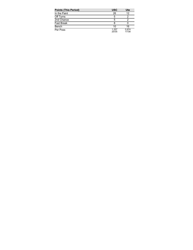| <b>Points (This Period)</b> | <b>USC</b>     | Ute            |
|-----------------------------|----------------|----------------|
| In the Paint                | 26             | 12             |
| Off Turns                   | 5              |                |
| 2nd Chance                  | 5              |                |
| <b>Fast Break</b>           | 8              |                |
| Bench                       | 10             | 16             |
| Per Poss                    | 1.257<br>20/35 | 0.974<br>17/38 |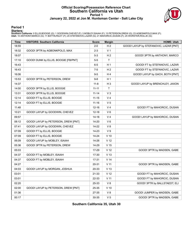#### **Official Scoring/Possession Reference Chart Southern California vs Utah Period 1 January 22, 2022 at Jon M. Huntsman Center - Salt Lake City**



#### **Period 1**

<mark>Starters:</mark><br>Southern California: 0 ELLIS,BOOGIE (G); 1 GOODWIN,CHEVEZ (F); 3 MOBLEY,ISAIAH (F); 13 PETERSON,DREW (G); 23 AGBONKPOLO,MAX (F);<br>Utah: 10 ANTHONY,MARCO (G); 11 BATTIN,RILEY (F); 20 STEFANOVIC,LAZAR (G); 21 MAHO

| <b>Time</b> | <b>VISITORS: Southern California</b> | <b>Score</b> | <b>Margin</b>   | <b>HOME: Utah</b>                      |
|-------------|--------------------------------------|--------------|-----------------|----------------------------------------|
| 18:55       |                                      | $2 - 0$      | H <sub>2</sub>  | GOOD! LAYUP by STEFANOVIC, LAZAR [PNT] |
| 18:32       | GOOD! 3PTR by AGBONKPOLO, MAX        | $2 - 3$      | V <sub>1</sub>  |                                        |
| 18:07       |                                      | $5-3$        | H <sub>2</sub>  | GOOD! 3PTR by ANTHONY, MARCO           |
| 17:10       | GOOD! DUNK by ELLIS, BOOGIE [FB/PNT] | $5-5$        | $\mathsf T$     |                                        |
| 16:43       |                                      | $6-5$        | H <sub>1</sub>  | GOOD! FT by STEFANOVIC, LAZAR          |
| 16:43       |                                      | $7 - 5$      | H <sub>2</sub>  | GOOD! FT by STEFANOVIC, LAZAR          |
| 16:06       |                                      | $9-5$        | H4              | GOOD! LAYUP by GACH, BOTH [PNT]        |
| 15:53       | GOOD! 3PTR by PETERSON, DREW         | $9-8$        | H <sub>1</sub>  |                                        |
| 14:37       |                                      | $11 - 8$     | $H_3$           | GOOD! LAYUP by BRENCHLEY, JAXON        |
| 14:00       | GOOD! 3PTR by ELLIS, BOOGIE          | $11 - 11$    | $\mathsf{T}$    |                                        |
| 13:31       | GOOD! 3PTR by ELLIS, BOOGIE          | $11 - 14$    | V <sub>3</sub>  |                                        |
| 12:14       | GOOD! FT by ELLIS, BOOGIE            | $11 - 15$    | V <sub>4</sub>  |                                        |
| 12:14       | GOOD! FT by ELLIS, BOOGIE            | $11 - 16$    | V <sub>5</sub>  |                                        |
| 11:48       |                                      | 12-16        | V <sub>4</sub>  | GOOD! FT by MAHORCIC, DUSAN            |
| 10:21       | GOOD! LAYUP by GOODWIN, CHEVEZ       | $12 - 18$    | $V_6$           |                                        |
| 09:57       |                                      | $14 - 18$    | V <sub>4</sub>  | GOOD! LAYUP by MAHORCIC, DUSAN         |
| 08:12       | GOOD! LAYUP by PETERSON, DREW [PNT]  | 14-20        | $V_6$           |                                        |
| 07:41       | GOOD! LAYUP by GOODWIN, CHEVEZ       | 14-22        | V8              |                                        |
| 07:09       | GOOD! FT by ELLIS, BOOGIE            | 14-23        | V <sub>9</sub>  |                                        |
| 07:09       | GOOD! FT by ELLIS, BOOGIE            | 14-24        | $V$ 10          |                                        |
| 06:09       | GOOD! LAYUP by MOBLEY, ISAIAH        | 14-26        | V <sub>12</sub> |                                        |
| 05:36       | GOOD! 3PTR by PETERSON, DREW         | 14-29        | V <sub>15</sub> |                                        |
| 05:03       |                                      | 17-29        | V <sub>12</sub> | GOOD! 3PTR by MADSEN, GABE             |
| 04:37       | GOOD! FT by MOBLEY, ISAIAH           | 17-30        | V <sub>13</sub> |                                        |
| 04:37       | GOOD! FT by MOBLEY, ISAIAH           | 17-31        | V <sub>14</sub> |                                        |
| 04:27       |                                      | 20-31        | V <sub>11</sub> | GOOD! 3PTR by MADSEN, GABE             |
| 04:03       | GOOD! LAYUP by MORGAN, JOSHUA        | 20-33        | V <sub>13</sub> |                                        |
| 03:01       |                                      | 21-33        | V <sub>12</sub> | GOOD! FT by MAHORCIC, DUSAN            |
| 03:01       |                                      | 22-33        | V <sub>11</sub> | GOOD! FT by MAHORCIC, DUSAN            |
| 02:20       |                                      | 25-33        | V8              | GOOD! 3PTR by BALLSTAEDT, ELI          |
| 02:00       | GOOD! LAYUP by PETERSON, DREW [PNT]  | 25-35        | $V$ 10          |                                        |
| 01:36       |                                      | 27-35        | V8              | GOOD! JUMPER by MADSEN, GABE           |
| 00:17       |                                      | 30-35        | V <sub>5</sub>  | GOOD! 3PTR by MADSEN, GABE             |

**Southern California 35, Utah 30**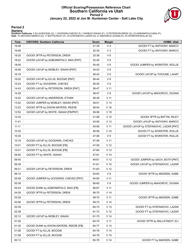#### **Official Scoring/Possession Reference Chart Southern California vs Utah Period 2 January 22, 2022 at Jon M. Huntsman Center - Salt Lake City**



### **Period 2**

<mark>Starters:</mark><br>Southern California: 0 ELLIS,BOOGIE (G); 1 GOODWIN,CHEVEZ (F); 3 MOBLEY,ISAIAH (F); 13 PETERSON,DREW (G); 23 AGBONKPOLO,MAX (F);<br>Utah: 10 ANTHONY,MARCO (G); 11 BATTIN,RILEY (F); 20 STEFANOVIC,LAZAR (G); 21 MAHO

| <b>Time</b> | <b>VISITORS: Southern California</b>   | <b>Score</b> | <b>Margin</b>   | <b>HOME: Utah</b>                      |
|-------------|----------------------------------------|--------------|-----------------|----------------------------------------|
| 19:48       |                                        | $31 - 35$    | V <sub>4</sub>  | GOOD! FT by ANTHONY, MARCO             |
| 19:48       |                                        | 32-35        | $V_3$           | GOOD! FT by ANTHONY, MARCO             |
| 19:20       | GOOD! 3PTR by PETERSON, DREW           | 32-38        | $V_6$           |                                        |
| 18:22       | GOOD! LAYUP by AGBONKPOLO, MAX [PNT]   | 32-40        | V8              |                                        |
| 18:05       |                                        | 34-40        | $V_6$           | GOOD! JUMPER by WORSTER, ROLLIE        |
| 16:46       | GOOD! LAYUP by MOBLEY, ISAIAH [PNT]    | 34-42        | V8              |                                        |
| 16:18       |                                        | 36-42        | $V_6$           | GOOD! LAYUP by THIOUNE, LAHAT          |
| 16:02       | GOOD! LAYUP by ELLIS, BOOGIE [PNT]     | 36-44        | V8              |                                        |
| 15:23       | GOOD! FT by GOODWIN, CHEVEZ            | 36-45        | V <sub>9</sub>  |                                        |
| 14:43       | GOOD! LAYUP by PETERSON, DREW [PNT]    | 36-47        | $V$ 11          |                                        |
| 14:29       |                                        | 38-47        | V <sub>9</sub>  | GOOD! LAYUP by MAHORCIC, DUSAN         |
| 14:22       | GOOD! LAYUP by ANDERSON, ETHAN         | 38-49        | V <sub>11</sub> |                                        |
| 13:52       | GOOD! JUMPER by MOBLEY, ISAIAH [PNT]   | 38-51        | V <sub>13</sub> |                                        |
| 13:22       | GOOD! 3PTR by DIXON-WATERS, REESE      | 38-54        | V <sub>16</sub> |                                        |
| 12:52       | GOOD! LAYUP by WHITE, ISAIAH [FB/PNT]  | 38-56        | V 18            |                                        |
| 12:33       |                                        | 41-56        | V <sub>15</sub> | GOOD! 3PTR by BATTIN, RILEY            |
| 11:41       |                                        | 43-56        | V <sub>13</sub> | GOOD! LAYUP by ANTHONY, MARCO          |
| 11:11       |                                        | 45-56        | V <sub>11</sub> | GOOD! LAYUP by STEFANOVIC, LAZAR [PNT] |
| 10:35       |                                        | 46-56        | $V$ 10          | GOOD! FT by WORSTER, ROLLIE            |
| 10:35       |                                        | 47-56        | V <sub>9</sub>  | GOOD! FT by WORSTER, ROLLIE            |
| 10:18       | GOOD! LAYUP by GOODWIN, CHEVEZ         | 47-58        | V <sub>11</sub> |                                        |
| 10:01       | GOOD! FT by ELLIS, BOOGIE [FB]         | 47-59        | V <sub>12</sub> |                                        |
| 10:01       | GOOD! FT by ELLIS, BOOGIE [FB]         | 47-60        | V <sub>13</sub> |                                        |
| 09:00       | GOOD! FT by WHITE, ISAIAH              | 47-61        | V <sub>14</sub> |                                        |
| 08:45       |                                        | 49-61        | V <sub>12</sub> | GOOD! JUMPER by GACH, BOTH [PNT]       |
| 06:39       |                                        | 51-61        | $V$ 10          | GOOD! LAYUP by STEFANOVIC, LAZAR       |
| 06:21       | GOOD! LAYUP by PETERSON, DREW          | 51-63        | V <sub>12</sub> |                                        |
| 06:10       |                                        | 54-63        | V <sub>9</sub>  | GOOD! 3PTR by MADSEN, GABE             |
| 05:48       | GOOD! JUMPER by GOODWIN, CHEVEZ [PNT]  | 54-65        | $V$ 11          |                                        |
| 05:38       |                                        | 56-65        | V <sub>9</sub>  | GOOD! JUMPER by MAHORCIC, DUSAN        |
| 05:24       | GOOD! DUNK by AGBONKPOLO, MAX [FB]     | 56-67        | $V$ 11          |                                        |
| 04:29       | GOOD! 3PTR by PETERSON, DREW           | 56-70        | V <sub>14</sub> |                                        |
| 03:29       |                                        | 59-70        | V <sub>11</sub> | GOOD! 3PTR by MADSEN, GABE             |
| 02:56       | GOOD! 3PTR by PETERSON, DREW           | 59-73        | V <sub>14</sub> |                                        |
| 02:39       |                                        | 60-73        | V <sub>13</sub> | GOOD! FT by STEFANOVIC, LAZAR          |
| 02:39       |                                        | 61-73        | V <sub>12</sub> | GOOD! FT by STEFANOVIC, LAZAR          |
| 02:12       | GOOD! LAYUP by MOBLEY, ISAIAH          | 61-75        | V <sub>14</sub> |                                        |
| 01:55       |                                        | 64-75        | $V$ 11          | GOOD! 3PTR by BALLSTAEDT, ELI          |
| 01:35       | GOOD! DUNK by DIXON-WATERS, REESE [FB] | 64-77        | V <sub>13</sub> |                                        |
| 01:08       | GOOD! FT by ELLIS, BOOGIE              | 64-78        | V <sub>14</sub> |                                        |
| 01:08       | GOOD! FT by ELLIS, BOOGIE              | 64-79        | V <sub>15</sub> |                                        |
| 00:13       |                                        | 65-79        | V <sub>14</sub> | GOOD! FT by MADSEN, GABE               |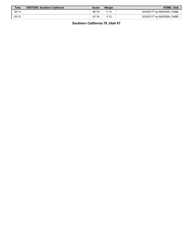| Time  | VISITORS: Southern California | Score | <b>Margin</b>   | <b>HOME: Utah</b>        |
|-------|-------------------------------|-------|-----------------|--------------------------|
| 00:13 |                               | 66-79 | V 13            | GOOD! FT by MADSEN, GABE |
| 00:13 |                               | 67-79 | V <sub>12</sub> | GOOD! FT by MADSEN, GABE |

**Southern California 79, Utah 67**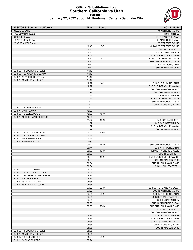#### **Official Substitutions Log Southern California vs Utah Period 1 January 22, 2022 at Jon M. Huntsman Center - Salt Lake City**



| <b>VISITORS: Southern California</b> | <b>Time</b> | <b>Score</b> | <b>HOME: Utah</b>           |
|--------------------------------------|-------------|--------------|-----------------------------|
| 0 ELLIS, BOOGIE                      |             |              | 10 ANTHONY, MARCO           |
| 1 GOODWIN, CHEVEZ                    |             |              | 11 BATTIN, RILEY            |
| 3 MOBLEY, ISAIAH                     |             |              | 20 STEFANOVIC, LAZAR        |
| 13 PETERSON, DREW                    |             |              | 21 MAHORCIC, DUSAN          |
| 23 AGBONKPOLO, MAX                   |             |              | 25 WORSTER, ROLLIE          |
|                                      | 16:43       | $5-6$        | SUB OUT: WORSTER, ROLLIE    |
|                                      | 16:43       |              | SUB IN: GACH, BOTH          |
|                                      | 16:43       |              | SUB OUT: BATTIN, RILEY      |
|                                      | 16:43       |              | SUB IN: BRENCHLEY, JAXON    |
|                                      | 14:12       | $8 - 11$     | SUB OUT: STEFANOVIC, LAZAR  |
|                                      | 14:12       |              | SUB OUT: MAHORCIC, DUSAN    |
|                                      | 14:12       |              | SUB IN: THIOUNE, LAHAT      |
|                                      | 14:12       |              | SUB IN: MADSEN, GABE        |
| SUB OUT: 1 GOODWIN, CHEVEZ           | 14:12       |              |                             |
| SUB OUT: 23 AGBONKPOLO, MAX          | 14:12       |              |                             |
| SUB IN: 20 ANDERSON, ETHAN           | 14:12       |              |                             |
| SUB IN: 24 MORGAN, JOSHUA            | 14:12       |              |                             |
|                                      | 12:27       | $14 - 11$    | SUB OUT: THIOUNE, LAHAT     |
|                                      | 12:27       |              | SUB OUT: BRENCHLEY, JAXON   |
|                                      | 12:27       |              | SUB OUT: ANTHONY, MARCO     |
|                                      | 12:27       |              | SUB OUT: MADSEN, GABE       |
|                                      | 12:27       |              | SUB IN: BATTIN, RILEY       |
|                                      | 12:27       |              | SUB IN: STEFANOVIC, LAZAR   |
|                                      | 12:27       |              | SUB IN: MAHORCIC, DUSAN     |
|                                      | 12:27       |              | SUB IN: WORSTER, ROLLIE     |
| SUB OUT: 3 MOBLEY, ISAIAH            | 12:27       |              |                             |
| SUB IN: 5 WHITE, ISAIAH              | 12:27       |              |                             |
| SUB OUT: 0 ELLIS, BOOGIE             | 12:03       | $16 - 11$    |                             |
| SUB IN: 21 DIXON-WATERS, REESE       | 12:03       |              |                             |
|                                      | 11:27       | $16-12$      | SUB OUT: GACH, BOTH         |
|                                      | 11:27       |              | SUB OUT: BATTIN, RILEY      |
|                                      | 11:27       |              | SUB IN: BRENCHLEY, JAXON    |
|                                      | 11:27       |              | SUB IN: MADSEN, GABE        |
| SUB OUT: 13 PETERSON, DREW           | 10:53       | $16-12$      |                             |
| SUB OUT: 24 MORGAN, JOSHUA           | 10:53       |              |                             |
| SUB IN: 1 GOODWIN, CHEVEZ            | 10:53       |              |                             |
| SUB IN: 3 MOBLEY ISAIAH              | 10:53       |              |                             |
|                                      | 09:41       | $18-14$      | SUB OUT: MAHORCIC, DUSAN    |
|                                      | 09:41       |              | SUB IN: THIOUNE, LAHAT      |
|                                      | 09:06       | $18 - 14$    | SUB OUT: WORSTER, ROLLIE    |
|                                      | 09:06       |              | SUB IN: GACH, BOTH          |
|                                      | 08:34       | 18-14        | SUB OUT: BRENCHLEY, JAXON   |
|                                      | 08:34       |              | SUB OUT: MADSEN, GABE       |
|                                      | 08:34       |              | SUB IN: JENKINS JR., DAVID  |
|                                      | 08:34       |              | SUB IN: BALLSTAEDT, ELI     |
| SUB OUT: 5 WHITE, ISAIAH             | 08:34       |              |                             |
| SUB OUT: 20 ANDERSON, ETHAN          | 08:34       |              |                             |
| SUB OUT: 21 DIXON-WATERS, REESE      | 08:34       |              |                             |
| SUB IN: 0 ELLIS, BOOGIE              | 08:34       |              |                             |
| SUB IN: 13 PETERSON, DREW            | 08:34       |              |                             |
| SUB IN: 23 AGBONKPOLO, MAX           | 08:34       |              |                             |
|                                      | 07:27       | $22 - 14$    | SUB OUT: STEFANOVIC, LAZAR  |
|                                      | 07:27       |              | SUB IN: ANTHONY, MARCO      |
|                                      | 07:09       | $23 - 14$    | SUB OUT: THIOUNE, LAHAT     |
|                                      | 07:09       |              | SUB OUT: BALLSTAEDT, ELI    |
|                                      | 07:09       |              | SUB IN: BATTIN, RILEY       |
|                                      | 07:09       |              | SUB IN: MAHORCIC, DUSAN     |
|                                      | 05:35       | 29-14        | SUB OUT: JENKINS JR., DAVID |
|                                      | 05:35       |              | SUB OUT: GACH, BOTH         |
|                                      | 05:35       |              | SUB OUT: ANTHONY, MARCO     |
|                                      | 05:35       |              | SUB OUT: BATTIN, RILEY      |
|                                      | 05:35       |              | SUB IN: BRENCHLEY, JAXON    |
|                                      | 05:35       |              | SUB IN: STEFANOVIC, LAZAR   |
|                                      | 05:35       |              | SUB IN: WORSTER, ROLLIE     |
|                                      | 05:35       |              | SUB IN: MADSEN, GABE        |
| SUB OUT: 1 GOODWIN, CHEVEZ           | 05:35       |              |                             |
| SUB IN: 24 MORGAN, JOSHUA            | 05:35       |              |                             |
| SUB OUT: 0 ELLIS, BOOGIE             | 05:24       | 29-14        |                             |
| SUB IN: 2 JOHNSON, KOBE              | 05:24       |              |                             |
|                                      |             |              |                             |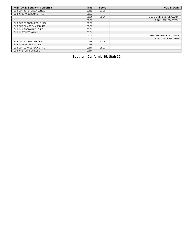| <b>VISITORS: Southern California</b> | <b>Time</b> | <b>Score</b> | <b>HOME: Utah</b>            |
|--------------------------------------|-------------|--------------|------------------------------|
| SUB OUT: 13 PETERSON, DREW           | 03:56       | $33 - 20$    |                              |
| SUB IN: 20 ANDERSON, ETHAN           | 03:56       |              |                              |
|                                      | 03:01       | $33 - 21$    | SUB OUT: BRENCHLEY, JAXON    |
|                                      | 03:01       |              | SUB IN: BALLSTAEDT, ELI      |
| SUB OUT: 23 AGBONKPOLO, MAX          | 03:01       |              |                              |
| SUB OUT: 24 MORGAN, JOSHUA           | 03:01       |              |                              |
| SUB IN: 1 GOODWIN, CHEVEZ            | 03:01       |              |                              |
| SUB IN: 5 WHITE.ISAIAH               | 03:01       |              |                              |
|                                      | 03:01       |              | SUB OUT: MAHORCIC, DUSAN     |
|                                      | 03:01       |              | <b>SUB IN: THIOUNE.LAHAT</b> |
| SUB OUT: 2 JOHNSON.KOBE              | 02:18       | $33 - 25$    |                              |
| SUB IN: 13 PETERSON.DREW             | 02:18       |              |                              |
| SUB OUT: 20 ANDERSON.ETHAN           | 00:41       | $35 - 27$    |                              |
| SUB IN: 2 JOHNSON.KOBE               | 00:41       |              |                              |

**Southern California 35, Utah 30**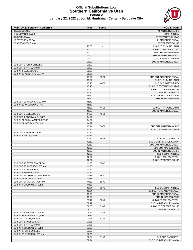# **Official Substitutions Log Southern California vs Utah Period 2**



|  | January 22, 2022 at Jon M. Huntsman Center - Salt Lake City |  |  |  |  |  |
|--|-------------------------------------------------------------|--|--|--|--|--|
|--|-------------------------------------------------------------|--|--|--|--|--|

| <b>VISITORS: Southern California</b> | <b>Time</b> | <b>Score</b>   | <b>HOME: Utah</b>          |
|--------------------------------------|-------------|----------------|----------------------------|
| 0 ELLIS, BOOGIE                      |             |                | 10 ANTHONY, MARCO          |
| 1 GOODWIN, CHEVEZ                    |             |                | 11 BATTIN, RILEY           |
| 3 MOBLEY, ISAIAH                     |             |                | 20 STEFANOVIC, LAZAR       |
| 13 PETERSON, DREW                    |             |                | 21 MAHORCIC, DUSAN         |
| 23 AGBONKPOLO, MAX                   |             |                | 25 WORSTER, ROLLIE         |
|                                      | 20:00       | $\blacksquare$ | SUB OUT: THIOUNE, LAHAT    |
|                                      | 20:00       |                | SUB OUT: BALLSTAEDT, ELI   |
|                                      | 20:00       |                | SUB OUT: MADSEN, GABE      |
|                                      | 20:00       |                | SUB IN: ANTHONY, MARCO     |
|                                      | 20:00       |                | SUB IN: BATTIN, RILEY      |
|                                      | 20:00       |                | SUB IN: MAHORCIC, DUSAN    |
| SUB OUT: 2 JOHNSON, KOBE             | 20:00       |                |                            |
| SUB OUT: 5 WHITE, ISAIAH             | 20:00       |                |                            |
| SUB IN: 0 ELLIS, BOOGIE              | 20:00       |                |                            |
| SUB IN: 23 AGBONKPOLO, MAX           | 20:00       |                |                            |
|                                      | 18:22       | 38-32          | SUB OUT: MAHORCIC, DUSAN   |
|                                      | 18:22       |                | SUB IN: THIOUNE, LAHAT     |
|                                      | 15:40       | 44-36          | SUB OUT: BATTIN, RILEY     |
|                                      | 15:40       |                | SUB OUT: STEFANOVIC, LAZAR |
|                                      | 15:40       |                | SUB OUT: WORSTER, ROLLIE   |
|                                      | 15:40       |                | SUB IN: GACH, BOTH         |
|                                      | 15:40       |                | SUB IN: BRENCHLEY, JAXON   |
|                                      | 15:40       |                | SUB IN: MADSEN, GABE       |
| SUB OUT: 23 AGBONKPOLO, MAX          | 15:40       |                |                            |
| SUB IN: 20 ANDERSON, ETHAN           | 15:40       |                |                            |
|                                      | 15:23       | 44-36          | SUB OUT: THIOUNE, LAHAT    |
|                                      | 15:23       |                | SUB IN: MAHORCIC, DUSAN    |
| SUB OUT: 0 ELLIS, BOOGIE             | 14:22       | 49-38          |                            |
| SUB OUT: 1 GOODWIN, CHEVEZ           | 14:22       |                |                            |
| SUB IN: 21 DIXON-WATERS, REESE       | 14:22       |                |                            |
| SUB IN: 24 MORGAN, JOSHUA            | 14:22       |                |                            |
|                                      | 13:14       | 54-38          | SUB OUT: ANTHONY, MARCO    |
|                                      | 13:14       |                | SUB IN: STEFANOVIC, LAZAR  |
| SUB OUT: 3 MOBLEY, ISAIAH            | 13:14       |                |                            |
| SUB IN: 5 WHITE, ISAIAH              | 13:14       |                |                            |
|                                      | 12:52       | 56-38          | SUB OUT: GACH, BOTH        |
|                                      | 12:52       |                | SUB OUT: BRENCHLEY, JAXON  |
|                                      | 12:52       |                | SUB OUT: MAHORCIC, DUSAN   |
|                                      | 12:52       |                | SUB OUT: MADSEN, GABE      |
|                                      | 12:52       |                | SUB IN: ANTHONY, MARCO     |
|                                      | 12:52       |                | SUB IN: BATTIN, RILEY      |
|                                      | 12:52       |                | SUB IN: BALLSTAEDT,ELI     |
|                                      | 12:52       |                | SUB IN: WORSTER, ROLLIE    |
| SUB OUT: 13 PETERSON, DREW           | 11:36       | 56-43          |                            |
| SUB OUT: 20 ANDERSON, ETHAN          | 11:36       |                |                            |
| SUB IN: 0 ELLIS, BOOGIE              | 11:36       |                |                            |
| SUB IN: 3 MOBLEY, ISAIAH             | 11:36       |                |                            |
| SUB OUT: 21 DIXON-WATERS, REESE      | 11:35       | 56-43          |                            |
| SUB IN: 13 PETERSON, DREW            | 11:35       |                |                            |
| SUB OUT: 24 MORGAN, JOSHUA           | 11:23       | 56-43          |                            |
| SUB IN: 1 GOODWIN, CHEVEZ            | 11:23       |                |                            |
|                                      | 10:01       | 59-47          | SUB OUT: BATTIN, RILEY     |
|                                      | 10:01       |                | SUB OUT: STEFANOVIC, LAZAR |
|                                      | 10:01       |                | SUB IN: MAHORCIC, DUSAN    |
|                                      | 10:01       |                | SUB IN: MADSEN, GABE       |
|                                      | 09:42       | 60-47          | SUB OUT: BALLSTAEDT,ELI    |
|                                      | 09:42       |                | SUB IN: BRENCHLEY, JAXON   |
|                                      | 09:00       | 61-47          | SUB OUT: WORSTER, ROLLIE   |
|                                      | 09:00       |                | SUB IN: GACH, BOTH         |
| SUB OUT: 1 GOODWIN, CHEVEZ           | 08:31       | 61-49          |                            |
| SUB IN: 23 AGBONKPOLO, MAX           | 08:31       |                |                            |
| SUB OUT: 0 ELLIS, BOOGIE             | 07:26       | 61-49          |                            |
| SUB OUT: 3 MOBLEY, ISAIAH            | 07:26       |                |                            |
| SUB OUT: 5 WHITE, ISAIAH             | 07:26       |                |                            |
| SUB IN: 1 GOODWIN, CHEVEZ            | 07:26       |                |                            |
| SUB IN: 2 JOHNSON, KOBE              | 07:26       |                |                            |
| SUB IN: 20 ANDERSON, ETHAN           | 07:26       |                |                            |
|                                      | 07:24       | 61-49          | SUB OUT: GACH, BOTH        |
|                                      | 07:24       |                | SUB OUT: BRENCHLEY, JAXON  |